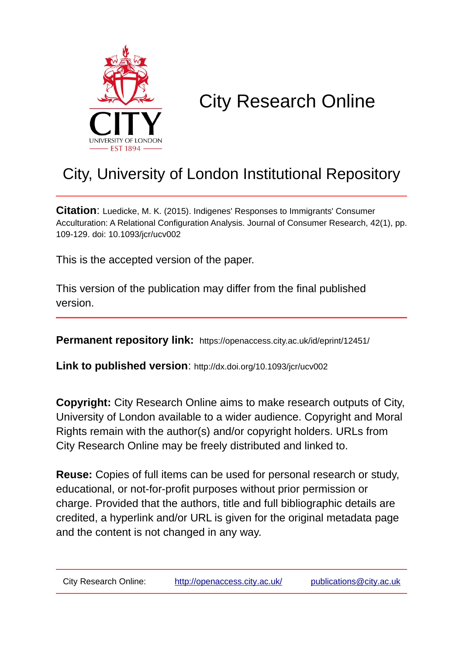

# City Research Online

# City, University of London Institutional Repository

**Citation**: Luedicke, M. K. (2015). Indigenes' Responses to Immigrants' Consumer Acculturation: A Relational Configuration Analysis. Journal of Consumer Research, 42(1), pp. 109-129. doi: 10.1093/jcr/ucv002

This is the accepted version of the paper.

This version of the publication may differ from the final published version.

**Permanent repository link:** https://openaccess.city.ac.uk/id/eprint/12451/

**Link to published version**: http://dx.doi.org/10.1093/jcr/ucv002

**Copyright:** City Research Online aims to make research outputs of City, University of London available to a wider audience. Copyright and Moral Rights remain with the author(s) and/or copyright holders. URLs from City Research Online may be freely distributed and linked to.

**Reuse:** Copies of full items can be used for personal research or study, educational, or not-for-profit purposes without prior permission or charge. Provided that the authors, title and full bibliographic details are credited, a hyperlink and/or URL is given for the original metadata page and the content is not changed in any way.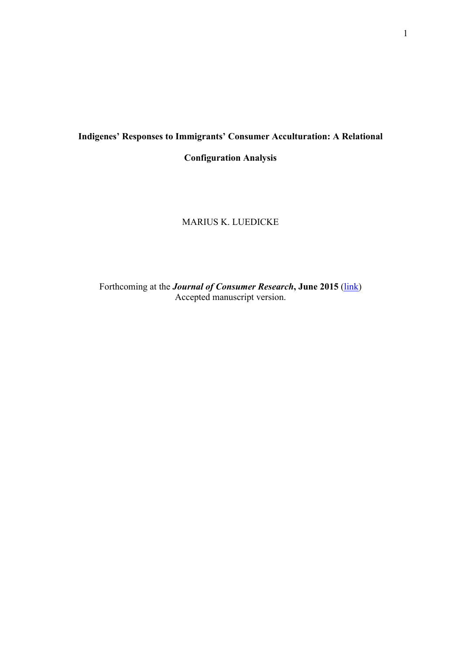# **Indigenes' Responses to Immigrants' Consumer Acculturation: A Relational**

**Configuration Analysis**

# MARIUS K. LUEDICKE

Forthcoming at the *Journal of Consumer Research*, June 2015 (link) Accepted manuscript version.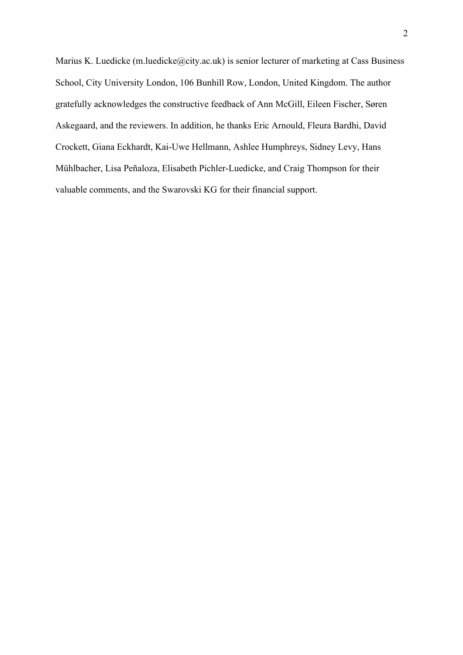Marius K. Luedicke (m.luedicke@city.ac.uk) is senior lecturer of marketing at Cass Business School, City University London, 106 Bunhill Row, London, United Kingdom. The author gratefully acknowledges the constructive feedback of Ann McGill, Eileen Fischer, Søren Askegaard, and the reviewers. In addition, he thanks Eric Arnould, Fleura Bardhi, David Crockett, Giana Eckhardt, Kai-Uwe Hellmann, Ashlee Humphreys, Sidney Levy, Hans Mühlbacher, Lisa Peñaloza, Elisabeth Pichler-Luedicke, and Craig Thompson for their valuable comments, and the Swarovski KG for their financial support.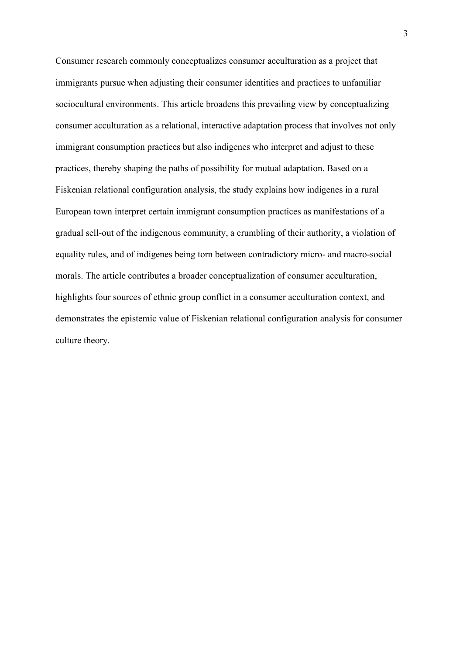Consumer research commonly conceptualizes consumer acculturation as a project that immigrants pursue when adjusting their consumer identities and practices to unfamiliar sociocultural environments. This article broadens this prevailing view by conceptualizing consumer acculturation as a relational, interactive adaptation process that involves not only immigrant consumption practices but also indigenes who interpret and adjust to these practices, thereby shaping the paths of possibility for mutual adaptation. Based on a Fiskenian relational configuration analysis, the study explains how indigenes in a rural European town interpret certain immigrant consumption practices as manifestations of a gradual sell-out of the indigenous community, a crumbling of their authority, a violation of equality rules, and of indigenes being torn between contradictory micro- and macro-social morals. The article contributes a broader conceptualization of consumer acculturation, highlights four sources of ethnic group conflict in a consumer acculturation context, and demonstrates the epistemic value of Fiskenian relational configuration analysis for consumer culture theory.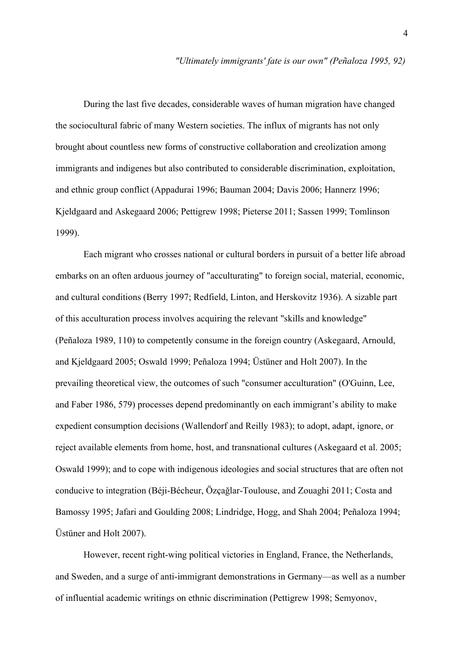During the last five decades, considerable waves of human migration have changed the sociocultural fabric of many Western societies. The influx of migrants has not only brought about countless new forms of constructive collaboration and creolization among immigrants and indigenes but also contributed to considerable discrimination, exploitation, and ethnic group conflict (Appadurai 1996; Bauman 2004; Davis 2006; Hannerz 1996; Kjeldgaard and Askegaard 2006; Pettigrew 1998; Pieterse 2011; Sassen 1999; Tomlinson 1999).

Each migrant who crosses national or cultural borders in pursuit of a better life abroad embarks on an often arduous journey of "acculturating" to foreign social, material, economic, and cultural conditions (Berry 1997; Redfield, Linton, and Herskovitz 1936). A sizable part of this acculturation process involves acquiring the relevant "skills and knowledge" (Peñaloza 1989, 110) to competently consume in the foreign country (Askegaard, Arnould, and Kjeldgaard 2005; Oswald 1999; Peñaloza 1994; Üstüner and Holt 2007). In the prevailing theoretical view, the outcomes of such "consumer acculturation" (O'Guinn, Lee, and Faber 1986, 579) processes depend predominantly on each immigrant's ability to make expedient consumption decisions (Wallendorf and Reilly 1983); to adopt, adapt, ignore, or reject available elements from home, host, and transnational cultures (Askegaard et al. 2005; Oswald 1999); and to cope with indigenous ideologies and social structures that are often not conducive to integration (Béji-Bécheur, Özçağlar-Toulouse, and Zouaghi 2011; Costa and Bamossy 1995; Jafari and Goulding 2008; Lindridge, Hogg, and Shah 2004; Peñaloza 1994; Üstüner and Holt 2007).

However, recent right-wing political victories in England, France, the Netherlands, and Sweden, and a surge of anti-immigrant demonstrations in Germany—as well as a number of influential academic writings on ethnic discrimination (Pettigrew 1998; Semyonov,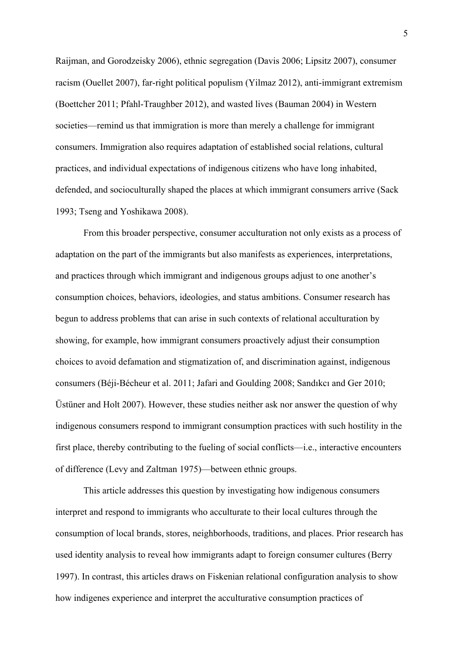Raijman, and Gorodzeisky 2006), ethnic segregation (Davis 2006; Lipsitz 2007), consumer racism (Ouellet 2007), far-right political populism (Yilmaz 2012), anti-immigrant extremism (Boettcher 2011; Pfahl-Traughber 2012), and wasted lives (Bauman 2004) in Western societies—remind us that immigration is more than merely a challenge for immigrant consumers. Immigration also requires adaptation of established social relations, cultural practices, and individual expectations of indigenous citizens who have long inhabited, defended, and socioculturally shaped the places at which immigrant consumers arrive (Sack 1993; Tseng and Yoshikawa 2008).

From this broader perspective, consumer acculturation not only exists as a process of adaptation on the part of the immigrants but also manifests as experiences, interpretations, and practices through which immigrant and indigenous groups adjust to one another's consumption choices, behaviors, ideologies, and status ambitions. Consumer research has begun to address problems that can arise in such contexts of relational acculturation by showing, for example, how immigrant consumers proactively adjust their consumption choices to avoid defamation and stigmatization of, and discrimination against, indigenous consumers (Béji-Bécheur et al. 2011; Jafari and Goulding 2008; Sandıkcı and Ger 2010; Üstüner and Holt 2007). However, these studies neither ask nor answer the question of why indigenous consumers respond to immigrant consumption practices with such hostility in the first place, thereby contributing to the fueling of social conflicts—i.e., interactive encounters of difference (Levy and Zaltman 1975)—between ethnic groups.

This article addresses this question by investigating how indigenous consumers interpret and respond to immigrants who acculturate to their local cultures through the consumption of local brands, stores, neighborhoods, traditions, and places. Prior research has used identity analysis to reveal how immigrants adapt to foreign consumer cultures (Berry 1997). In contrast, this articles draws on Fiskenian relational configuration analysis to show how indigenes experience and interpret the acculturative consumption practices of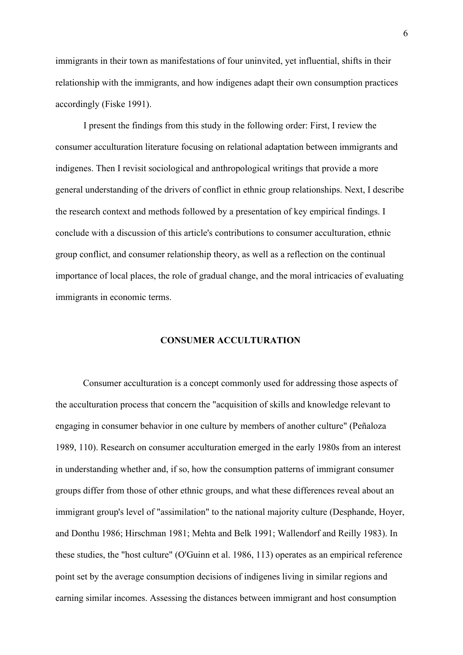immigrants in their town as manifestations of four uninvited, yet influential, shifts in their relationship with the immigrants, and how indigenes adapt their own consumption practices accordingly (Fiske 1991).

I present the findings from this study in the following order: First, I review the consumer acculturation literature focusing on relational adaptation between immigrants and indigenes. Then I revisit sociological and anthropological writings that provide a more general understanding of the drivers of conflict in ethnic group relationships. Next, I describe the research context and methods followed by a presentation of key empirical findings. I conclude with a discussion of this article's contributions to consumer acculturation, ethnic group conflict, and consumer relationship theory, as well as a reflection on the continual importance of local places, the role of gradual change, and the moral intricacies of evaluating immigrants in economic terms.

#### **CONSUMER ACCULTURATION**

Consumer acculturation is a concept commonly used for addressing those aspects of the acculturation process that concern the "acquisition of skills and knowledge relevant to engaging in consumer behavior in one culture by members of another culture" (Peñaloza 1989, 110). Research on consumer acculturation emerged in the early 1980s from an interest in understanding whether and, if so, how the consumption patterns of immigrant consumer groups differ from those of other ethnic groups, and what these differences reveal about an immigrant group's level of "assimilation" to the national majority culture (Desphande, Hoyer, and Donthu 1986; Hirschman 1981; Mehta and Belk 1991; Wallendorf and Reilly 1983). In these studies, the "host culture" (O'Guinn et al. 1986, 113) operates as an empirical reference point set by the average consumption decisions of indigenes living in similar regions and earning similar incomes. Assessing the distances between immigrant and host consumption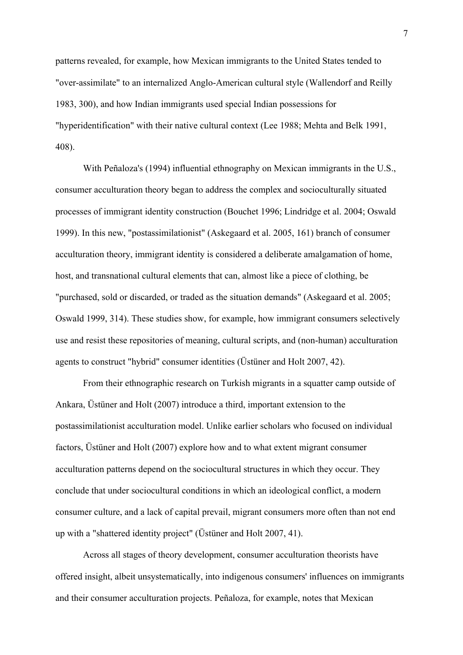patterns revealed, for example, how Mexican immigrants to the United States tended to "over-assimilate" to an internalized Anglo-American cultural style (Wallendorf and Reilly 1983, 300), and how Indian immigrants used special Indian possessions for "hyperidentification" with their native cultural context (Lee 1988; Mehta and Belk 1991, 408).

With Peñaloza's (1994) influential ethnography on Mexican immigrants in the U.S., consumer acculturation theory began to address the complex and socioculturally situated processes of immigrant identity construction (Bouchet 1996; Lindridge et al. 2004; Oswald 1999). In this new, "postassimilationist" (Askegaard et al. 2005, 161) branch of consumer acculturation theory, immigrant identity is considered a deliberate amalgamation of home, host, and transnational cultural elements that can, almost like a piece of clothing, be "purchased, sold or discarded, or traded as the situation demands" (Askegaard et al. 2005; Oswald 1999, 314). These studies show, for example, how immigrant consumers selectively use and resist these repositories of meaning, cultural scripts, and (non-human) acculturation agents to construct "hybrid" consumer identities (Üstüner and Holt 2007, 42).

From their ethnographic research on Turkish migrants in a squatter camp outside of Ankara, Üstüner and Holt (2007) introduce a third, important extension to the postassimilationist acculturation model. Unlike earlier scholars who focused on individual factors, Üstüner and Holt (2007) explore how and to what extent migrant consumer acculturation patterns depend on the sociocultural structures in which they occur. They conclude that under sociocultural conditions in which an ideological conflict, a modern consumer culture, and a lack of capital prevail, migrant consumers more often than not end up with a "shattered identity project" (Üstüner and Holt 2007, 41).

Across all stages of theory development, consumer acculturation theorists have offered insight, albeit unsystematically, into indigenous consumers' influences on immigrants and their consumer acculturation projects. Peñaloza, for example, notes that Mexican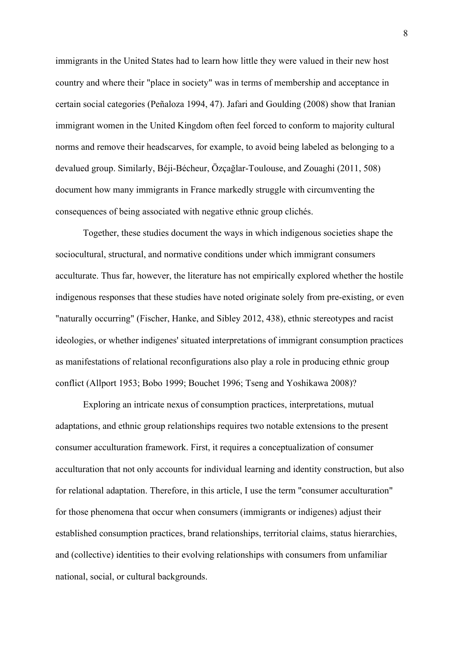immigrants in the United States had to learn how little they were valued in their new host country and where their "place in society" was in terms of membership and acceptance in certain social categories (Peñaloza 1994, 47). Jafari and Goulding (2008) show that Iranian immigrant women in the United Kingdom often feel forced to conform to majority cultural norms and remove their headscarves, for example, to avoid being labeled as belonging to a devalued group. Similarly, Béji-Bécheur, Özçağlar-Toulouse, and Zouaghi (2011, 508) document how many immigrants in France markedly struggle with circumventing the consequences of being associated with negative ethnic group clichés.

Together, these studies document the ways in which indigenous societies shape the sociocultural, structural, and normative conditions under which immigrant consumers acculturate. Thus far, however, the literature has not empirically explored whether the hostile indigenous responses that these studies have noted originate solely from pre-existing, or even "naturally occurring" (Fischer, Hanke, and Sibley 2012, 438), ethnic stereotypes and racist ideologies, or whether indigenes' situated interpretations of immigrant consumption practices as manifestations of relational reconfigurations also play a role in producing ethnic group conflict (Allport 1953; Bobo 1999; Bouchet 1996; Tseng and Yoshikawa 2008)?

Exploring an intricate nexus of consumption practices, interpretations, mutual adaptations, and ethnic group relationships requires two notable extensions to the present consumer acculturation framework. First, it requires a conceptualization of consumer acculturation that not only accounts for individual learning and identity construction, but also for relational adaptation. Therefore, in this article, I use the term "consumer acculturation" for those phenomena that occur when consumers (immigrants or indigenes) adjust their established consumption practices, brand relationships, territorial claims, status hierarchies, and (collective) identities to their evolving relationships with consumers from unfamiliar national, social, or cultural backgrounds.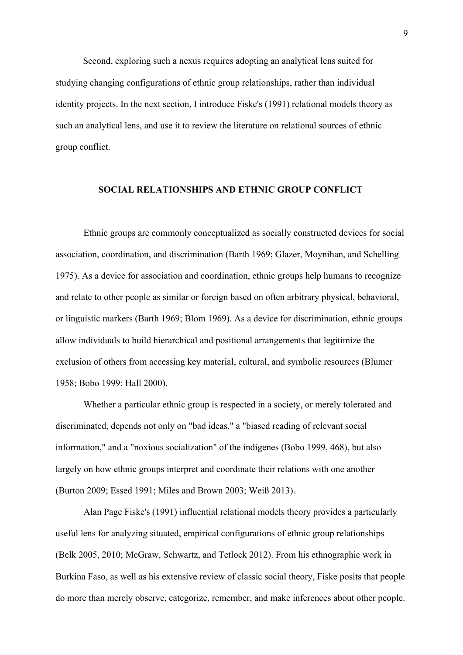Second, exploring such a nexus requires adopting an analytical lens suited for studying changing configurations of ethnic group relationships, rather than individual identity projects. In the next section, I introduce Fiske's (1991) relational models theory as such an analytical lens, and use it to review the literature on relational sources of ethnic group conflict.

#### **SOCIAL RELATIONSHIPS AND ETHNIC GROUP CONFLICT**

Ethnic groups are commonly conceptualized as socially constructed devices for social association, coordination, and discrimination (Barth 1969; Glazer, Moynihan, and Schelling 1975). As a device for association and coordination, ethnic groups help humans to recognize and relate to other people as similar or foreign based on often arbitrary physical, behavioral, or linguistic markers (Barth 1969; Blom 1969). As a device for discrimination, ethnic groups allow individuals to build hierarchical and positional arrangements that legitimize the exclusion of others from accessing key material, cultural, and symbolic resources (Blumer 1958; Bobo 1999; Hall 2000).

Whether a particular ethnic group is respected in a society, or merely tolerated and discriminated, depends not only on "bad ideas," a "biased reading of relevant social information," and a "noxious socialization" of the indigenes (Bobo 1999, 468), but also largely on how ethnic groups interpret and coordinate their relations with one another (Burton 2009; Essed 1991; Miles and Brown 2003; Weiß 2013).

Alan Page Fiske's (1991) influential relational models theory provides a particularly useful lens for analyzing situated, empirical configurations of ethnic group relationships (Belk 2005, 2010; McGraw, Schwartz, and Tetlock 2012). From his ethnographic work in Burkina Faso, as well as his extensive review of classic social theory, Fiske posits that people do more than merely observe, categorize, remember, and make inferences about other people.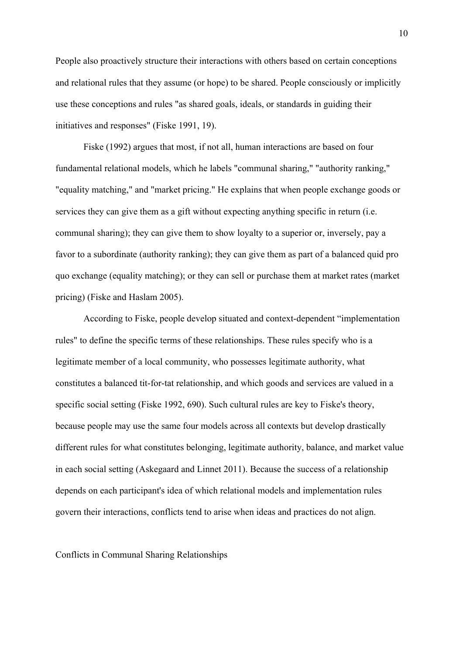People also proactively structure their interactions with others based on certain conceptions and relational rules that they assume (or hope) to be shared. People consciously or implicitly use these conceptions and rules "as shared goals, ideals, or standards in guiding their initiatives and responses" (Fiske 1991, 19).

Fiske (1992) argues that most, if not all, human interactions are based on four fundamental relational models, which he labels "communal sharing," "authority ranking," "equality matching," and "market pricing." He explains that when people exchange goods or services they can give them as a gift without expecting anything specific in return (i.e. communal sharing); they can give them to show loyalty to a superior or, inversely, pay a favor to a subordinate (authority ranking); they can give them as part of a balanced quid pro quo exchange (equality matching); or they can sell or purchase them at market rates (market pricing) (Fiske and Haslam 2005).

According to Fiske, people develop situated and context-dependent "implementation rules" to define the specific terms of these relationships. These rules specify who is a legitimate member of a local community, who possesses legitimate authority, what constitutes a balanced tit-for-tat relationship, and which goods and services are valued in a specific social setting (Fiske 1992, 690). Such cultural rules are key to Fiske's theory, because people may use the same four models across all contexts but develop drastically different rules for what constitutes belonging, legitimate authority, balance, and market value in each social setting (Askegaard and Linnet 2011). Because the success of a relationship depends on each participant's idea of which relational models and implementation rules govern their interactions, conflicts tend to arise when ideas and practices do not align.

Conflicts in Communal Sharing Relationships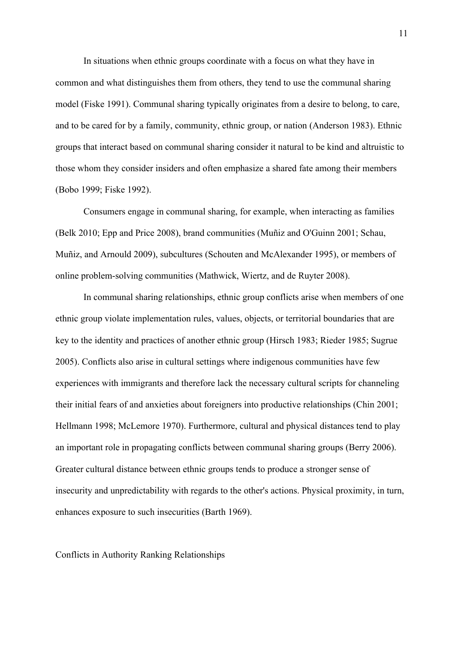In situations when ethnic groups coordinate with a focus on what they have in common and what distinguishes them from others, they tend to use the communal sharing model (Fiske 1991). Communal sharing typically originates from a desire to belong, to care, and to be cared for by a family, community, ethnic group, or nation (Anderson 1983). Ethnic groups that interact based on communal sharing consider it natural to be kind and altruistic to those whom they consider insiders and often emphasize a shared fate among their members (Bobo 1999; Fiske 1992).

Consumers engage in communal sharing, for example, when interacting as families (Belk 2010; Epp and Price 2008), brand communities (Muñiz and O'Guinn 2001; Schau, Muñiz, and Arnould 2009), subcultures (Schouten and McAlexander 1995), or members of online problem-solving communities (Mathwick, Wiertz, and de Ruyter 2008).

In communal sharing relationships, ethnic group conflicts arise when members of one ethnic group violate implementation rules, values, objects, or territorial boundaries that are key to the identity and practices of another ethnic group (Hirsch 1983; Rieder 1985; Sugrue 2005). Conflicts also arise in cultural settings where indigenous communities have few experiences with immigrants and therefore lack the necessary cultural scripts for channeling their initial fears of and anxieties about foreigners into productive relationships (Chin 2001; Hellmann 1998; McLemore 1970). Furthermore, cultural and physical distances tend to play an important role in propagating conflicts between communal sharing groups (Berry 2006). Greater cultural distance between ethnic groups tends to produce a stronger sense of insecurity and unpredictability with regards to the other's actions. Physical proximity, in turn, enhances exposure to such insecurities (Barth 1969).

Conflicts in Authority Ranking Relationships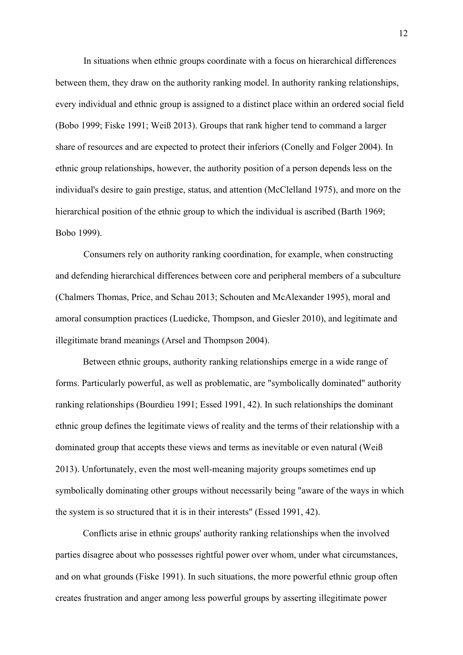In situations when ethnic groups coordinate with a focus on hierarchical differences between them, they draw on the authority ranking model. In authority ranking relationships, every individual and ethnic group is assigned to a distinct place within an ordered social field (Bobo 1999; Fiske 1991; Weiß 2013). Groups that rank higher tend to command a larger share of resources and are expected to protect their inferiors (Conelly and Folger 2004). In ethnic group relationships, however, the authority position of a person depends less on the individual's desire to gain prestige, status, and attention (McClelland 1975), and more on the hierarchical position of the ethnic group to which the individual is ascribed (Barth 1969; Bobo 1999).

Consumers rely on authority ranking coordination, for example, when constructing and defending hierarchical differences between core and peripheral members of a subculture (Chalmers Thomas, Price, and Schau 2013; Schouten and McAlexander 1995), moral and amoral consumption practices (Luedicke, Thompson, and Giesler 2010), and legitimate and illegitimate brand meanings (Arsel and Thompson 2004).

Between ethnic groups, authority ranking relationships emerge in a wide range of forms. Particularly powerful, as well as problematic, are "symbolically dominated" authority ranking relationships (Bourdieu 1991; Essed 1991, 42). In such relationships the dominant ethnic group defines the legitimate views of reality and the terms of their relationship with a dominated group that accepts these views and terms as inevitable or even natural (Weiß 2013). Unfortunately, even the most well-meaning majority groups sometimes end up symbolically dominating other groups without necessarily being "aware of the ways in which the system is so structured that it is in their interests" (Essed 1991, 42).

Conflicts arise in ethnic groups' authority ranking relationships when the involved parties disagree about who possesses rightful power over whom, under what circumstances, and on what grounds (Fiske 1991). In such situations, the more powerful ethnic group often creates frustration and anger among less powerful groups by asserting illegitimate power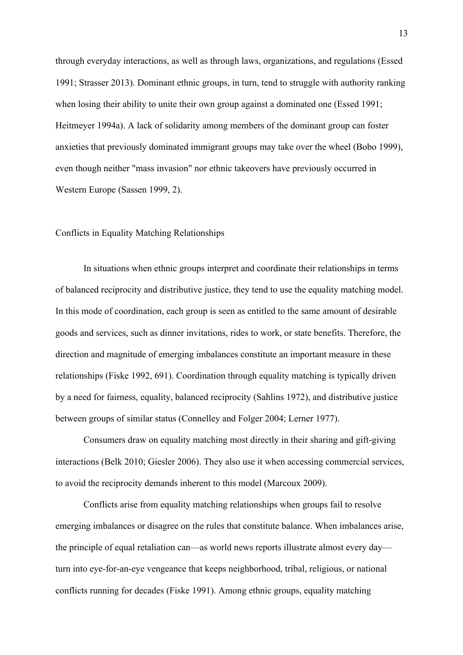through everyday interactions, as well as through laws, organizations, and regulations (Essed 1991; Strasser 2013). Dominant ethnic groups, in turn, tend to struggle with authority ranking when losing their ability to unite their own group against a dominated one (Essed 1991; Heitmeyer 1994a). A lack of solidarity among members of the dominant group can foster anxieties that previously dominated immigrant groups may take over the wheel (Bobo 1999), even though neither "mass invasion" nor ethnic takeovers have previously occurred in Western Europe (Sassen 1999, 2).

#### Conflicts in Equality Matching Relationships

In situations when ethnic groups interpret and coordinate their relationships in terms of balanced reciprocity and distributive justice, they tend to use the equality matching model. In this mode of coordination, each group is seen as entitled to the same amount of desirable goods and services, such as dinner invitations, rides to work, or state benefits. Therefore, the direction and magnitude of emerging imbalances constitute an important measure in these relationships (Fiske 1992, 691). Coordination through equality matching is typically driven by a need for fairness, equality, balanced reciprocity (Sahlins 1972), and distributive justice between groups of similar status (Connelley and Folger 2004; Lerner 1977).

Consumers draw on equality matching most directly in their sharing and gift-giving interactions (Belk 2010; Giesler 2006). They also use it when accessing commercial services, to avoid the reciprocity demands inherent to this model (Marcoux 2009).

Conflicts arise from equality matching relationships when groups fail to resolve emerging imbalances or disagree on the rules that constitute balance. When imbalances arise, the principle of equal retaliation can—as world news reports illustrate almost every day turn into eye-for-an-eye vengeance that keeps neighborhood, tribal, religious, or national conflicts running for decades (Fiske 1991). Among ethnic groups, equality matching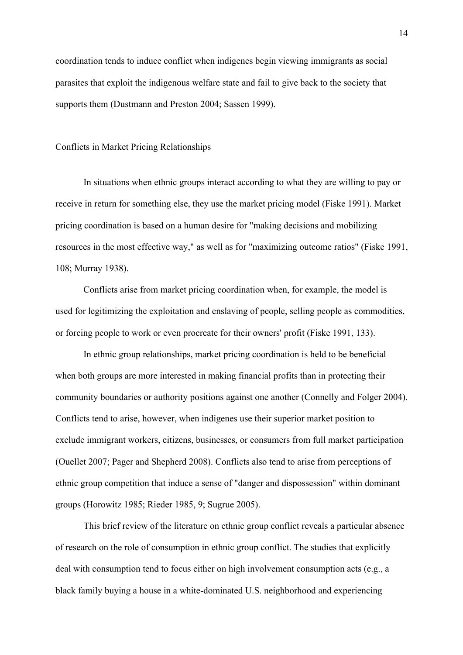coordination tends to induce conflict when indigenes begin viewing immigrants as social parasites that exploit the indigenous welfare state and fail to give back to the society that supports them (Dustmann and Preston 2004; Sassen 1999).

#### Conflicts in Market Pricing Relationships

In situations when ethnic groups interact according to what they are willing to pay or receive in return for something else, they use the market pricing model (Fiske 1991). Market pricing coordination is based on a human desire for "making decisions and mobilizing resources in the most effective way," as well as for "maximizing outcome ratios" (Fiske 1991, 108; Murray 1938).

Conflicts arise from market pricing coordination when, for example, the model is used for legitimizing the exploitation and enslaving of people, selling people as commodities, or forcing people to work or even procreate for their owners' profit (Fiske 1991, 133).

In ethnic group relationships, market pricing coordination is held to be beneficial when both groups are more interested in making financial profits than in protecting their community boundaries or authority positions against one another (Connelly and Folger 2004). Conflicts tend to arise, however, when indigenes use their superior market position to exclude immigrant workers, citizens, businesses, or consumers from full market participation (Ouellet 2007; Pager and Shepherd 2008). Conflicts also tend to arise from perceptions of ethnic group competition that induce a sense of "danger and dispossession" within dominant groups (Horowitz 1985; Rieder 1985, 9; Sugrue 2005).

This brief review of the literature on ethnic group conflict reveals a particular absence of research on the role of consumption in ethnic group conflict. The studies that explicitly deal with consumption tend to focus either on high involvement consumption acts (e.g., a black family buying a house in a white-dominated U.S. neighborhood and experiencing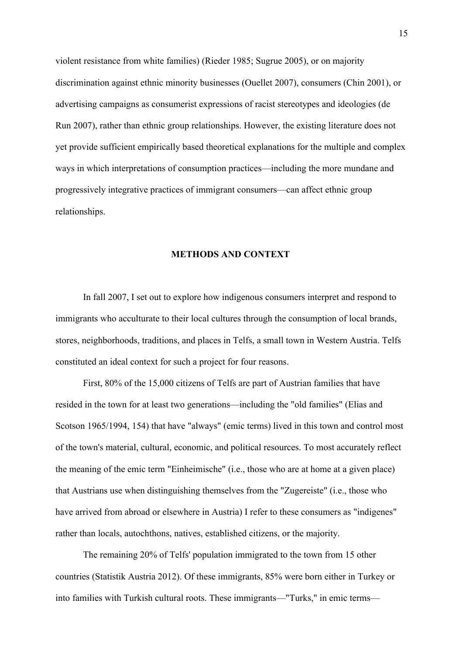violent resistance from white families) (Rieder 1985; Sugrue 2005), or on majority discrimination against ethnic minority businesses (Ouellet 2007), consumers (Chin 2001), or advertising campaigns as consumerist expressions of racist stereotypes and ideologies (de Run 2007), rather than ethnic group relationships. However, the existing literature does not yet provide sufficient empirically based theoretical explanations for the multiple and complex ways in which interpretations of consumption practices—including the more mundane and progressively integrative practices of immigrant consumers—can affect ethnic group relationships.

#### **METHODS AND CONTEXT**

In fall 2007, I set out to explore how indigenous consumers interpret and respond to immigrants who acculturate to their local cultures through the consumption of local brands, stores, neighborhoods, traditions, and places in Telfs, a small town in Western Austria. Telfs constituted an ideal context for such a project for four reasons.

First, 80% of the 15,000 citizens of Telfs are part of Austrian families that have resided in the town for at least two generations—including the "old families" (Elias and Scotson 1965/1994, 154) that have "always" (emic terms) lived in this town and control most of the town's material, cultural, economic, and political resources. To most accurately reflect the meaning of the emic term "Einheimische" (i.e., those who are at home at a given place) that Austrians use when distinguishing themselves from the "Zugereiste" (i.e., those who have arrived from abroad or elsewhere in Austria) I refer to these consumers as "indigenes" rather than locals, autochthons, natives, established citizens, or the majority.

The remaining 20% of Telfs' population immigrated to the town from 15 other countries (Statistik Austria 2012). Of these immigrants, 85% were born either in Turkey or into families with Turkish cultural roots. These immigrants—"Turks," in emic terms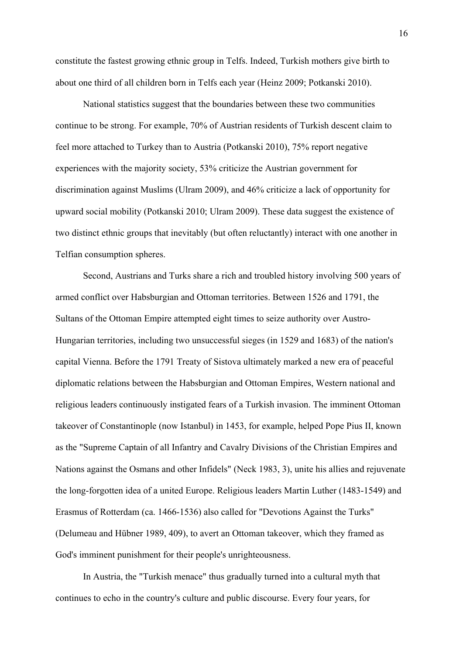constitute the fastest growing ethnic group in Telfs. Indeed, Turkish mothers give birth to about one third of all children born in Telfs each year (Heinz 2009; Potkanski 2010).

National statistics suggest that the boundaries between these two communities continue to be strong. For example, 70% of Austrian residents of Turkish descent claim to feel more attached to Turkey than to Austria (Potkanski 2010), 75% report negative experiences with the majority society, 53% criticize the Austrian government for discrimination against Muslims (Ulram 2009), and 46% criticize a lack of opportunity for upward social mobility (Potkanski 2010; Ulram 2009). These data suggest the existence of two distinct ethnic groups that inevitably (but often reluctantly) interact with one another in Telfian consumption spheres.

Second, Austrians and Turks share a rich and troubled history involving 500 years of armed conflict over Habsburgian and Ottoman territories. Between 1526 and 1791, the Sultans of the Ottoman Empire attempted eight times to seize authority over Austro-Hungarian territories, including two unsuccessful sieges (in 1529 and 1683) of the nation's capital Vienna. Before the 1791 Treaty of Sistova ultimately marked a new era of peaceful diplomatic relations between the Habsburgian and Ottoman Empires, Western national and religious leaders continuously instigated fears of a Turkish invasion. The imminent Ottoman takeover of Constantinople (now Istanbul) in 1453, for example, helped Pope Pius II, known as the "Supreme Captain of all Infantry and Cavalry Divisions of the Christian Empires and Nations against the Osmans and other Infidels" (Neck 1983, 3), unite his allies and rejuvenate the long-forgotten idea of a united Europe. Religious leaders Martin Luther (1483-1549) and Erasmus of Rotterdam (ca. 1466-1536) also called for "Devotions Against the Turks" (Delumeau and Hübner 1989, 409), to avert an Ottoman takeover, which they framed as God's imminent punishment for their people's unrighteousness.

In Austria, the "Turkish menace" thus gradually turned into a cultural myth that continues to echo in the country's culture and public discourse. Every four years, for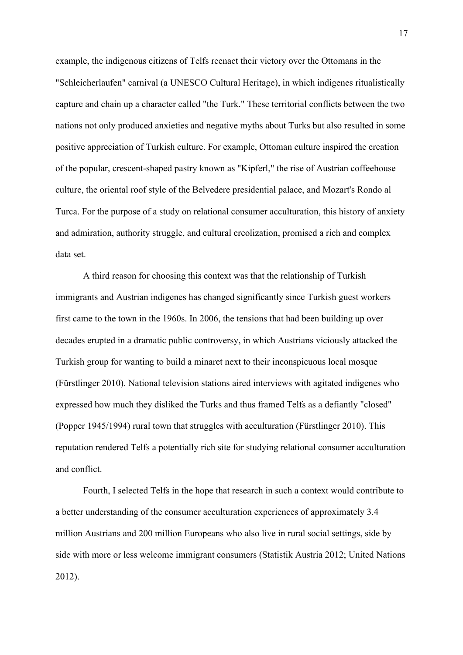example, the indigenous citizens of Telfs reenact their victory over the Ottomans in the "Schleicherlaufen" carnival (a UNESCO Cultural Heritage), in which indigenes ritualistically capture and chain up a character called "the Turk." These territorial conflicts between the two nations not only produced anxieties and negative myths about Turks but also resulted in some positive appreciation of Turkish culture. For example, Ottoman culture inspired the creation of the popular, crescent-shaped pastry known as "Kipferl," the rise of Austrian coffeehouse culture, the oriental roof style of the Belvedere presidential palace, and Mozart's Rondo al Turca. For the purpose of a study on relational consumer acculturation, this history of anxiety and admiration, authority struggle, and cultural creolization, promised a rich and complex data set.

A third reason for choosing this context was that the relationship of Turkish immigrants and Austrian indigenes has changed significantly since Turkish guest workers first came to the town in the 1960s. In 2006, the tensions that had been building up over decades erupted in a dramatic public controversy, in which Austrians viciously attacked the Turkish group for wanting to build a minaret next to their inconspicuous local mosque (Fürstlinger 2010). National television stations aired interviews with agitated indigenes who expressed how much they disliked the Turks and thus framed Telfs as a defiantly "closed" (Popper 1945/1994) rural town that struggles with acculturation (Fürstlinger 2010). This reputation rendered Telfs a potentially rich site for studying relational consumer acculturation and conflict.

Fourth, I selected Telfs in the hope that research in such a context would contribute to a better understanding of the consumer acculturation experiences of approximately 3.4 million Austrians and 200 million Europeans who also live in rural social settings, side by side with more or less welcome immigrant consumers (Statistik Austria 2012; United Nations 2012).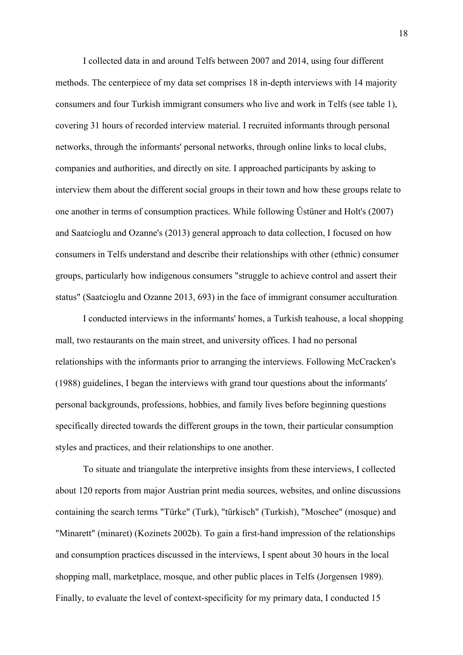I collected data in and around Telfs between 2007 and 2014, using four different methods. The centerpiece of my data set comprises 18 in-depth interviews with 14 majority consumers and four Turkish immigrant consumers who live and work in Telfs (see table 1), covering 31 hours of recorded interview material. I recruited informants through personal networks, through the informants' personal networks, through online links to local clubs, companies and authorities, and directly on site. I approached participants by asking to interview them about the different social groups in their town and how these groups relate to one another in terms of consumption practices. While following Üstüner and Holt's (2007) and Saatcioglu and Ozanne's (2013) general approach to data collection, I focused on how consumers in Telfs understand and describe their relationships with other (ethnic) consumer groups, particularly how indigenous consumers "struggle to achieve control and assert their status" (Saatcioglu and Ozanne 2013, 693) in the face of immigrant consumer acculturation*.* 

I conducted interviews in the informants' homes, a Turkish teahouse, a local shopping mall, two restaurants on the main street, and university offices. I had no personal relationships with the informants prior to arranging the interviews. Following McCracken's (1988) guidelines, I began the interviews with grand tour questions about the informants' personal backgrounds, professions, hobbies, and family lives before beginning questions specifically directed towards the different groups in the town, their particular consumption styles and practices, and their relationships to one another.

To situate and triangulate the interpretive insights from these interviews, I collected about 120 reports from major Austrian print media sources, websites, and online discussions containing the search terms "Türke" (Turk), "türkisch" (Turkish), "Moschee" (mosque) and "Minarett" (minaret) (Kozinets 2002b). To gain a first-hand impression of the relationships and consumption practices discussed in the interviews, I spent about 30 hours in the local shopping mall, marketplace, mosque, and other public places in Telfs (Jorgensen 1989). Finally, to evaluate the level of context-specificity for my primary data, I conducted 15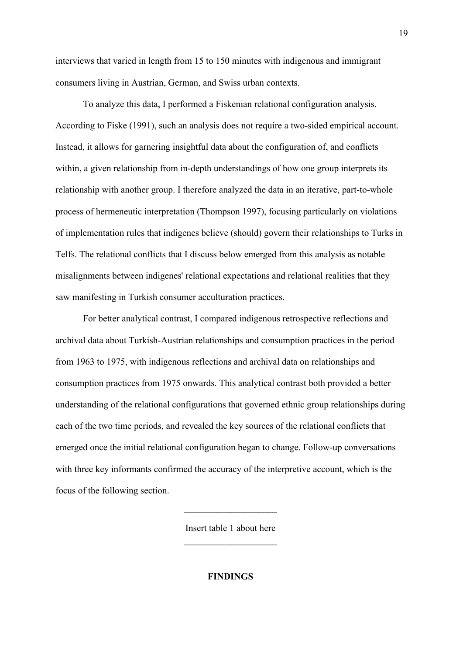interviews that varied in length from 15 to 150 minutes with indigenous and immigrant consumers living in Austrian, German, and Swiss urban contexts.

To analyze this data, I performed a Fiskenian relational configuration analysis. According to Fiske (1991), such an analysis does not require a two-sided empirical account. Instead, it allows for garnering insightful data about the configuration of, and conflicts within, a given relationship from in-depth understandings of how one group interprets its relationship with another group. I therefore analyzed the data in an iterative, part-to-whole process of hermeneutic interpretation (Thompson 1997), focusing particularly on violations of implementation rules that indigenes believe (should) govern their relationships to Turks in Telfs. The relational conflicts that I discuss below emerged from this analysis as notable misalignments between indigenes' relational expectations and relational realities that they saw manifesting in Turkish consumer acculturation practices.

For better analytical contrast, I compared indigenous retrospective reflections and archival data about Turkish-Austrian relationships and consumption practices in the period from 1963 to 1975, with indigenous reflections and archival data on relationships and consumption practices from 1975 onwards. This analytical contrast both provided a better understanding of the relational configurations that governed ethnic group relationships during each of the two time periods, and revealed the key sources of the relational conflicts that emerged once the initial relational configuration began to change. Follow-up conversations with three key informants confirmed the accuracy of the interpretive account, which is the focus of the following section.

> Insert table 1 about here ––––––––––––––––––––

> ––––––––––––––––––––

**FINDINGS**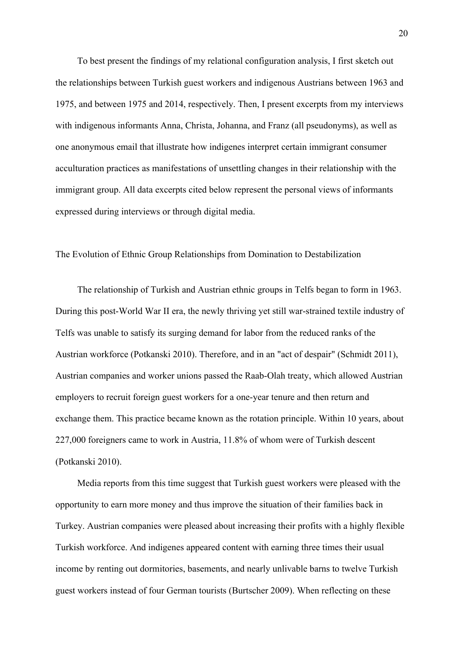To best present the findings of my relational configuration analysis, I first sketch out the relationships between Turkish guest workers and indigenous Austrians between 1963 and 1975, and between 1975 and 2014, respectively. Then, I present excerpts from my interviews with indigenous informants Anna, Christa, Johanna, and Franz (all pseudonyms), as well as one anonymous email that illustrate how indigenes interpret certain immigrant consumer acculturation practices as manifestations of unsettling changes in their relationship with the immigrant group. All data excerpts cited below represent the personal views of informants expressed during interviews or through digital media.

#### The Evolution of Ethnic Group Relationships from Domination to Destabilization

The relationship of Turkish and Austrian ethnic groups in Telfs began to form in 1963. During this post-World War II era, the newly thriving yet still war-strained textile industry of Telfs was unable to satisfy its surging demand for labor from the reduced ranks of the Austrian workforce (Potkanski 2010). Therefore, and in an "act of despair" (Schmidt 2011), Austrian companies and worker unions passed the Raab-Olah treaty, which allowed Austrian employers to recruit foreign guest workers for a one-year tenure and then return and exchange them. This practice became known as the rotation principle. Within 10 years, about 227,000 foreigners came to work in Austria, 11.8% of whom were of Turkish descent (Potkanski 2010).

Media reports from this time suggest that Turkish guest workers were pleased with the opportunity to earn more money and thus improve the situation of their families back in Turkey. Austrian companies were pleased about increasing their profits with a highly flexible Turkish workforce. And indigenes appeared content with earning three times their usual income by renting out dormitories, basements, and nearly unlivable barns to twelve Turkish guest workers instead of four German tourists (Burtscher 2009). When reflecting on these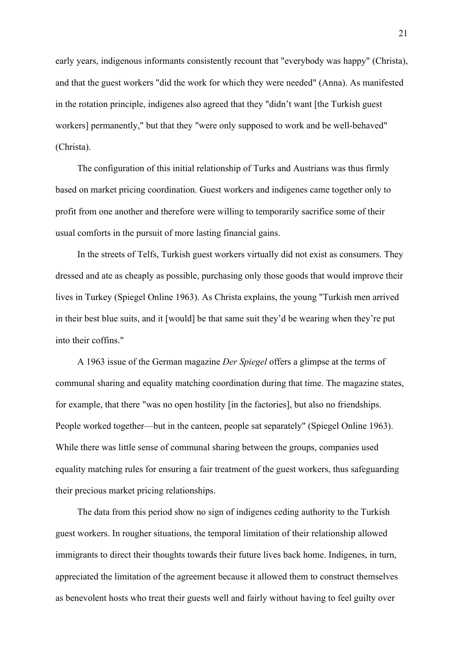early years, indigenous informants consistently recount that "everybody was happy" (Christa), and that the guest workers "did the work for which they were needed" (Anna). As manifested in the rotation principle, indigenes also agreed that they "didn't want [the Turkish guest workers] permanently," but that they "were only supposed to work and be well-behaved" (Christa).

The configuration of this initial relationship of Turks and Austrians was thus firmly based on market pricing coordination. Guest workers and indigenes came together only to profit from one another and therefore were willing to temporarily sacrifice some of their usual comforts in the pursuit of more lasting financial gains.

In the streets of Telfs, Turkish guest workers virtually did not exist as consumers. They dressed and ate as cheaply as possible, purchasing only those goods that would improve their lives in Turkey (Spiegel Online 1963). As Christa explains, the young "Turkish men arrived in their best blue suits, and it [would] be that same suit they'd be wearing when they're put into their coffins."

A 1963 issue of the German magazine *Der Spiegel* offers a glimpse at the terms of communal sharing and equality matching coordination during that time. The magazine states, for example, that there "was no open hostility [in the factories], but also no friendships. People worked together—but in the canteen, people sat separately" (Spiegel Online 1963). While there was little sense of communal sharing between the groups, companies used equality matching rules for ensuring a fair treatment of the guest workers, thus safeguarding their precious market pricing relationships.

The data from this period show no sign of indigenes ceding authority to the Turkish guest workers. In rougher situations, the temporal limitation of their relationship allowed immigrants to direct their thoughts towards their future lives back home. Indigenes, in turn, appreciated the limitation of the agreement because it allowed them to construct themselves as benevolent hosts who treat their guests well and fairly without having to feel guilty over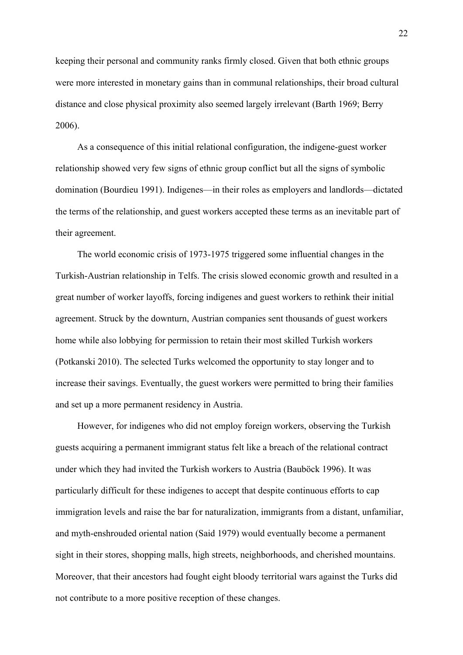keeping their personal and community ranks firmly closed. Given that both ethnic groups were more interested in monetary gains than in communal relationships, their broad cultural distance and close physical proximity also seemed largely irrelevant (Barth 1969; Berry 2006).

As a consequence of this initial relational configuration, the indigene-guest worker relationship showed very few signs of ethnic group conflict but all the signs of symbolic domination (Bourdieu 1991). Indigenes—in their roles as employers and landlords—dictated the terms of the relationship, and guest workers accepted these terms as an inevitable part of their agreement.

The world economic crisis of 1973-1975 triggered some influential changes in the Turkish-Austrian relationship in Telfs. The crisis slowed economic growth and resulted in a great number of worker layoffs, forcing indigenes and guest workers to rethink their initial agreement. Struck by the downturn, Austrian companies sent thousands of guest workers home while also lobbying for permission to retain their most skilled Turkish workers (Potkanski 2010). The selected Turks welcomed the opportunity to stay longer and to increase their savings. Eventually, the guest workers were permitted to bring their families and set up a more permanent residency in Austria.

However, for indigenes who did not employ foreign workers, observing the Turkish guests acquiring a permanent immigrant status felt like a breach of the relational contract under which they had invited the Turkish workers to Austria (Bauböck 1996). It was particularly difficult for these indigenes to accept that despite continuous efforts to cap immigration levels and raise the bar for naturalization, immigrants from a distant, unfamiliar, and myth-enshrouded oriental nation (Said 1979) would eventually become a permanent sight in their stores, shopping malls, high streets, neighborhoods, and cherished mountains. Moreover, that their ancestors had fought eight bloody territorial wars against the Turks did not contribute to a more positive reception of these changes.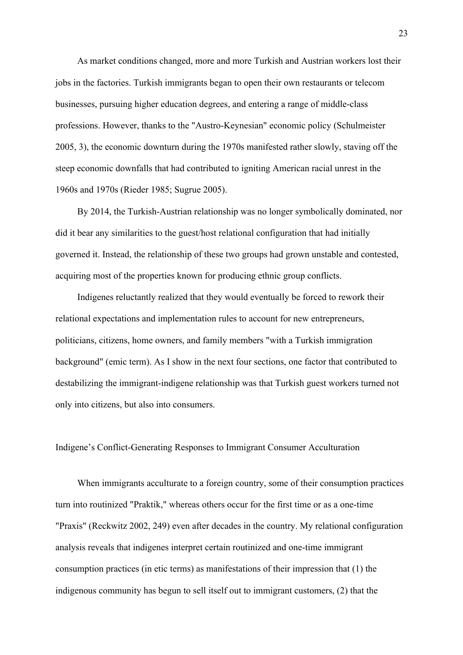As market conditions changed, more and more Turkish and Austrian workers lost their jobs in the factories. Turkish immigrants began to open their own restaurants or telecom businesses, pursuing higher education degrees, and entering a range of middle-class professions. However, thanks to the "Austro-Keynesian" economic policy (Schulmeister 2005, 3), the economic downturn during the 1970s manifested rather slowly, staving off the steep economic downfalls that had contributed to igniting American racial unrest in the 1960s and 1970s (Rieder 1985; Sugrue 2005).

By 2014, the Turkish-Austrian relationship was no longer symbolically dominated, nor did it bear any similarities to the guest/host relational configuration that had initially governed it. Instead, the relationship of these two groups had grown unstable and contested, acquiring most of the properties known for producing ethnic group conflicts.

Indigenes reluctantly realized that they would eventually be forced to rework their relational expectations and implementation rules to account for new entrepreneurs, politicians, citizens, home owners, and family members "with a Turkish immigration background" (emic term). As I show in the next four sections, one factor that contributed to destabilizing the immigrant-indigene relationship was that Turkish guest workers turned not only into citizens, but also into consumers.

#### Indigene's Conflict-Generating Responses to Immigrant Consumer Acculturation

When immigrants acculturate to a foreign country, some of their consumption practices turn into routinized "Praktik," whereas others occur for the first time or as a one-time "Praxis" (Reckwitz 2002, 249) even after decades in the country. My relational configuration analysis reveals that indigenes interpret certain routinized and one-time immigrant consumption practices (in etic terms) as manifestations of their impression that (1) the indigenous community has begun to sell itself out to immigrant customers, (2) that the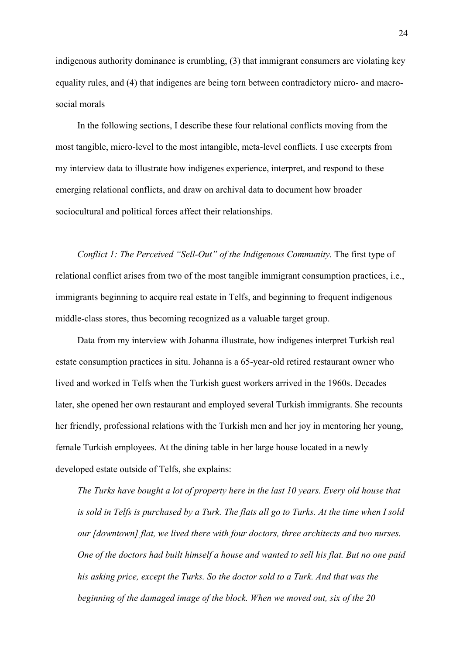indigenous authority dominance is crumbling, (3) that immigrant consumers are violating key equality rules, and (4) that indigenes are being torn between contradictory micro- and macrosocial morals

In the following sections, I describe these four relational conflicts moving from the most tangible, micro-level to the most intangible, meta-level conflicts. I use excerpts from my interview data to illustrate how indigenes experience, interpret, and respond to these emerging relational conflicts, and draw on archival data to document how broader sociocultural and political forces affect their relationships.

*Conflict 1: The Perceived "Sell-Out" of the Indigenous Community.* The first type of relational conflict arises from two of the most tangible immigrant consumption practices, i.e., immigrants beginning to acquire real estate in Telfs, and beginning to frequent indigenous middle-class stores, thus becoming recognized as a valuable target group.

Data from my interview with Johanna illustrate, how indigenes interpret Turkish real estate consumption practices in situ. Johanna is a 65-year-old retired restaurant owner who lived and worked in Telfs when the Turkish guest workers arrived in the 1960s. Decades later, she opened her own restaurant and employed several Turkish immigrants. She recounts her friendly, professional relations with the Turkish men and her joy in mentoring her young, female Turkish employees. At the dining table in her large house located in a newly developed estate outside of Telfs, she explains:

*The Turks have bought a lot of property here in the last 10 years. Every old house that is sold in Telfs is purchased by a Turk. The flats all go to Turks. At the time when I sold our [downtown] flat, we lived there with four doctors, three architects and two nurses. One of the doctors had built himself a house and wanted to sell his flat. But no one paid his asking price, except the Turks. So the doctor sold to a Turk. And that was the beginning of the damaged image of the block. When we moved out, six of the 20*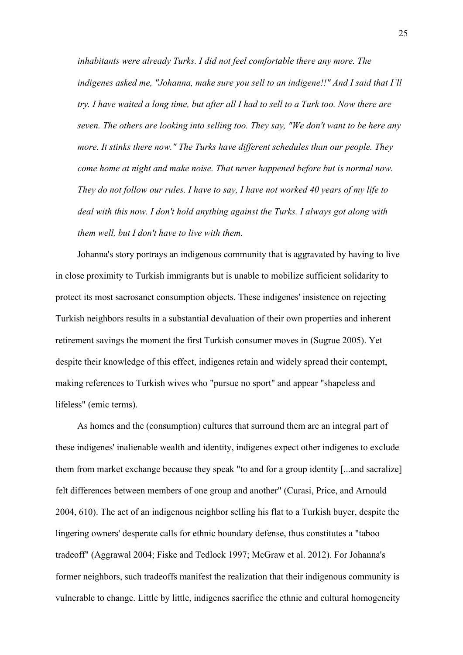*inhabitants were already Turks. I did not feel comfortable there any more. The indigenes asked me, "Johanna, make sure you sell to an indigene!!" And I said that I'll try. I have waited a long time, but after all I had to sell to a Turk too. Now there are seven. The others are looking into selling too. They say, "We don't want to be here any more. It stinks there now." The Turks have different schedules than our people. They come home at night and make noise. That never happened before but is normal now. They do not follow our rules. I have to say, I have not worked 40 years of my life to deal with this now. I don't hold anything against the Turks. I always got along with them well, but I don't have to live with them.*

Johanna's story portrays an indigenous community that is aggravated by having to live in close proximity to Turkish immigrants but is unable to mobilize sufficient solidarity to protect its most sacrosanct consumption objects. These indigenes' insistence on rejecting Turkish neighbors results in a substantial devaluation of their own properties and inherent retirement savings the moment the first Turkish consumer moves in (Sugrue 2005). Yet despite their knowledge of this effect, indigenes retain and widely spread their contempt, making references to Turkish wives who "pursue no sport" and appear "shapeless and lifeless" (emic terms).

As homes and the (consumption) cultures that surround them are an integral part of these indigenes' inalienable wealth and identity, indigenes expect other indigenes to exclude them from market exchange because they speak "to and for a group identity [...and sacralize] felt differences between members of one group and another" (Curasi, Price, and Arnould 2004, 610). The act of an indigenous neighbor selling his flat to a Turkish buyer, despite the lingering owners' desperate calls for ethnic boundary defense, thus constitutes a "taboo tradeoff" (Aggrawal 2004; Fiske and Tedlock 1997; McGraw et al. 2012). For Johanna's former neighbors, such tradeoffs manifest the realization that their indigenous community is vulnerable to change. Little by little, indigenes sacrifice the ethnic and cultural homogeneity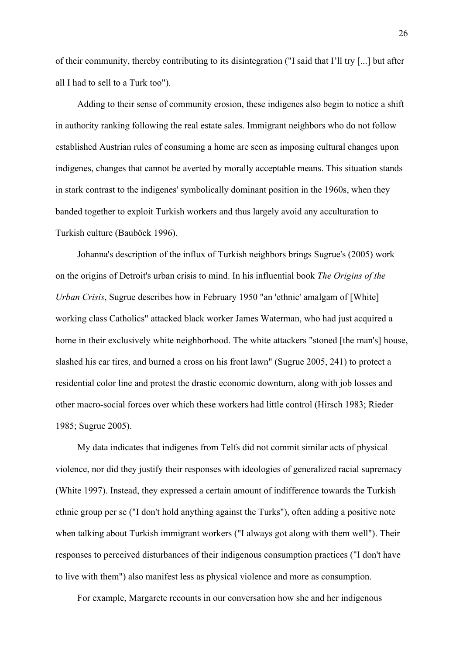of their community, thereby contributing to its disintegration ("I said that I'll try [...] but after all I had to sell to a Turk too").

Adding to their sense of community erosion, these indigenes also begin to notice a shift in authority ranking following the real estate sales. Immigrant neighbors who do not follow established Austrian rules of consuming a home are seen as imposing cultural changes upon indigenes, changes that cannot be averted by morally acceptable means. This situation stands in stark contrast to the indigenes' symbolically dominant position in the 1960s, when they banded together to exploit Turkish workers and thus largely avoid any acculturation to Turkish culture (Bauböck 1996).

Johanna's description of the influx of Turkish neighbors brings Sugrue's (2005) work on the origins of Detroit's urban crisis to mind. In his influential book *The Origins of the Urban Crisis*, Sugrue describes how in February 1950 "an 'ethnic' amalgam of [White] working class Catholics" attacked black worker James Waterman, who had just acquired a home in their exclusively white neighborhood. The white attackers "stoned [the man's] house, slashed his car tires, and burned a cross on his front lawn" (Sugrue 2005, 241) to protect a residential color line and protest the drastic economic downturn, along with job losses and other macro-social forces over which these workers had little control (Hirsch 1983; Rieder 1985; Sugrue 2005).

My data indicates that indigenes from Telfs did not commit similar acts of physical violence, nor did they justify their responses with ideologies of generalized racial supremacy (White 1997). Instead, they expressed a certain amount of indifference towards the Turkish ethnic group per se ("I don't hold anything against the Turks"), often adding a positive note when talking about Turkish immigrant workers ("I always got along with them well"). Their responses to perceived disturbances of their indigenous consumption practices ("I don't have to live with them") also manifest less as physical violence and more as consumption.

For example, Margarete recounts in our conversation how she and her indigenous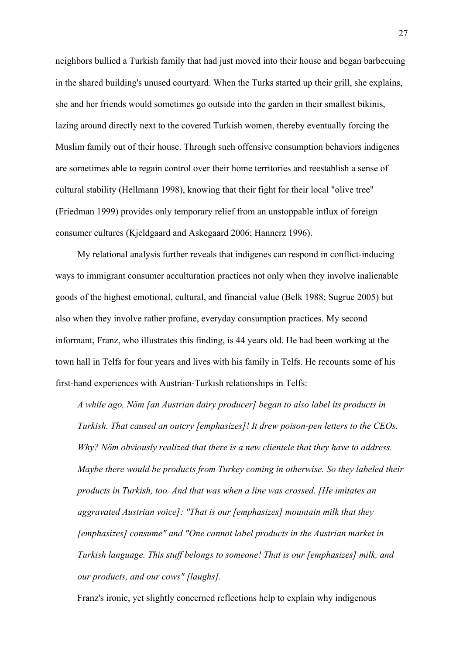neighbors bullied a Turkish family that had just moved into their house and began barbecuing in the shared building's unused courtyard. When the Turks started up their grill, she explains, she and her friends would sometimes go outside into the garden in their smallest bikinis, lazing around directly next to the covered Turkish women, thereby eventually forcing the Muslim family out of their house. Through such offensive consumption behaviors indigenes are sometimes able to regain control over their home territories and reestablish a sense of cultural stability (Hellmann 1998), knowing that their fight for their local "olive tree" (Friedman 1999) provides only temporary relief from an unstoppable influx of foreign consumer cultures (Kjeldgaard and Askegaard 2006; Hannerz 1996).

My relational analysis further reveals that indigenes can respond in conflict-inducing ways to immigrant consumer acculturation practices not only when they involve inalienable goods of the highest emotional, cultural, and financial value (Belk 1988; Sugrue 2005) but also when they involve rather profane, everyday consumption practices. My second informant, Franz, who illustrates this finding, is 44 years old. He had been working at the town hall in Telfs for four years and lives with his family in Telfs. He recounts some of his first-hand experiences with Austrian-Turkish relationships in Telfs:

*A while ago, Nöm [an Austrian dairy producer] began to also label its products in Turkish. That caused an outcry [emphasizes]! It drew poison-pen letters to the CEOs. Why? Nöm obviously realized that there is a new clientele that they have to address. Maybe there would be products from Turkey coming in otherwise. So they labeled their products in Turkish, too. And that was when a line was crossed. [He imitates an aggravated Austrian voice]: "That is our [emphasizes] mountain milk that they [emphasizes] consume" and "One cannot label products in the Austrian market in Turkish language. This stuff belongs to someone! That is our [emphasizes] milk, and our products, and our cows" [laughs].* 

Franz's ironic, yet slightly concerned reflections help to explain why indigenous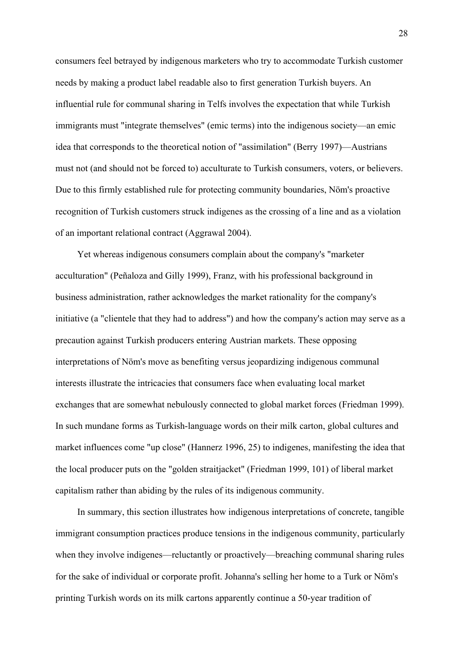consumers feel betrayed by indigenous marketers who try to accommodate Turkish customer needs by making a product label readable also to first generation Turkish buyers. An influential rule for communal sharing in Telfs involves the expectation that while Turkish immigrants must "integrate themselves" (emic terms) into the indigenous society—an emic idea that corresponds to the theoretical notion of "assimilation" (Berry 1997)—Austrians must not (and should not be forced to) acculturate to Turkish consumers, voters, or believers. Due to this firmly established rule for protecting community boundaries, Nöm's proactive recognition of Turkish customers struck indigenes as the crossing of a line and as a violation of an important relational contract (Aggrawal 2004).

Yet whereas indigenous consumers complain about the company's "marketer acculturation" (Peñaloza and Gilly 1999), Franz, with his professional background in business administration, rather acknowledges the market rationality for the company's initiative (a "clientele that they had to address") and how the company's action may serve as a precaution against Turkish producers entering Austrian markets. These opposing interpretations of Nöm's move as benefiting versus jeopardizing indigenous communal interests illustrate the intricacies that consumers face when evaluating local market exchanges that are somewhat nebulously connected to global market forces (Friedman 1999). In such mundane forms as Turkish-language words on their milk carton, global cultures and market influences come "up close" (Hannerz 1996, 25) to indigenes, manifesting the idea that the local producer puts on the "golden straitjacket" (Friedman 1999, 101) of liberal market capitalism rather than abiding by the rules of its indigenous community.

In summary, this section illustrates how indigenous interpretations of concrete, tangible immigrant consumption practices produce tensions in the indigenous community, particularly when they involve indigenes—reluctantly or proactively—breaching communal sharing rules for the sake of individual or corporate profit. Johanna's selling her home to a Turk or Nöm's printing Turkish words on its milk cartons apparently continue a 50-year tradition of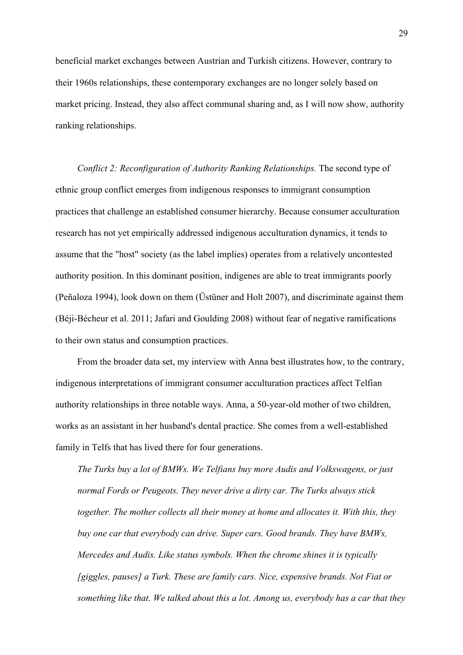beneficial market exchanges between Austrian and Turkish citizens. However, contrary to their 1960s relationships, these contemporary exchanges are no longer solely based on market pricing. Instead, they also affect communal sharing and, as I will now show, authority ranking relationships.

*Conflict 2: Reconfiguration of Authority Ranking Relationships.* The second type of ethnic group conflict emerges from indigenous responses to immigrant consumption practices that challenge an established consumer hierarchy. Because consumer acculturation research has not yet empirically addressed indigenous acculturation dynamics, it tends to assume that the "host" society (as the label implies) operates from a relatively uncontested authority position. In this dominant position, indigenes are able to treat immigrants poorly (Peñaloza 1994), look down on them (Üstüner and Holt 2007), and discriminate against them (Béji-Bécheur et al. 2011; Jafari and Goulding 2008) without fear of negative ramifications to their own status and consumption practices.

From the broader data set, my interview with Anna best illustrates how, to the contrary, indigenous interpretations of immigrant consumer acculturation practices affect Telfian authority relationships in three notable ways. Anna, a 50-year-old mother of two children, works as an assistant in her husband's dental practice. She comes from a well-established family in Telfs that has lived there for four generations.

*The Turks buy a lot of BMWs. We Telfians buy more Audis and Volkswagens, or just normal Fords or Peugeots. They never drive a dirty car. The Turks always stick together. The mother collects all their money at home and allocates it. With this, they buy one car that everybody can drive. Super cars. Good brands. They have BMWs, Mercedes and Audis. Like status symbols. When the chrome shines it is typically [giggles, pauses] a Turk. These are family cars. Nice, expensive brands. Not Fiat or something like that. We talked about this a lot. Among us, everybody has a car that they*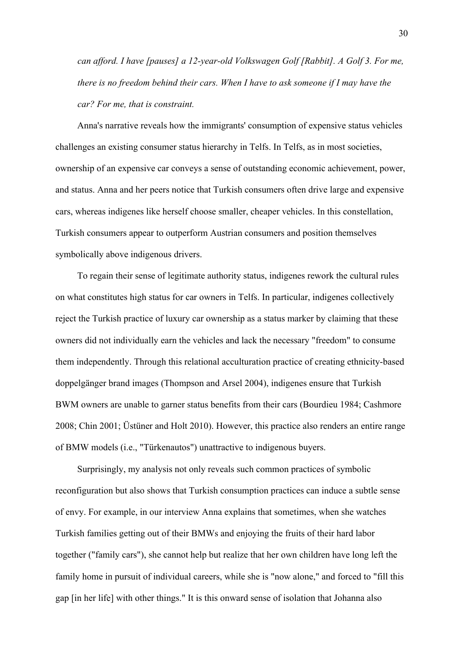*can afford. I have [pauses] a 12-year-old Volkswagen Golf [Rabbit]. A Golf 3. For me, there is no freedom behind their cars. When I have to ask someone if I may have the car? For me, that is constraint.*

Anna's narrative reveals how the immigrants' consumption of expensive status vehicles challenges an existing consumer status hierarchy in Telfs. In Telfs, as in most societies, ownership of an expensive car conveys a sense of outstanding economic achievement, power, and status. Anna and her peers notice that Turkish consumers often drive large and expensive cars, whereas indigenes like herself choose smaller, cheaper vehicles. In this constellation, Turkish consumers appear to outperform Austrian consumers and position themselves symbolically above indigenous drivers.

To regain their sense of legitimate authority status, indigenes rework the cultural rules on what constitutes high status for car owners in Telfs. In particular, indigenes collectively reject the Turkish practice of luxury car ownership as a status marker by claiming that these owners did not individually earn the vehicles and lack the necessary "freedom" to consume them independently. Through this relational acculturation practice of creating ethnicity-based doppelgänger brand images (Thompson and Arsel 2004), indigenes ensure that Turkish BWM owners are unable to garner status benefits from their cars (Bourdieu 1984; Cashmore 2008; Chin 2001; Üstüner and Holt 2010). However, this practice also renders an entire range of BMW models (i.e., "Türkenautos") unattractive to indigenous buyers.

Surprisingly, my analysis not only reveals such common practices of symbolic reconfiguration but also shows that Turkish consumption practices can induce a subtle sense of envy. For example, in our interview Anna explains that sometimes, when she watches Turkish families getting out of their BMWs and enjoying the fruits of their hard labor together ("family cars"), she cannot help but realize that her own children have long left the family home in pursuit of individual careers, while she is "now alone," and forced to "fill this gap [in her life] with other things." It is this onward sense of isolation that Johanna also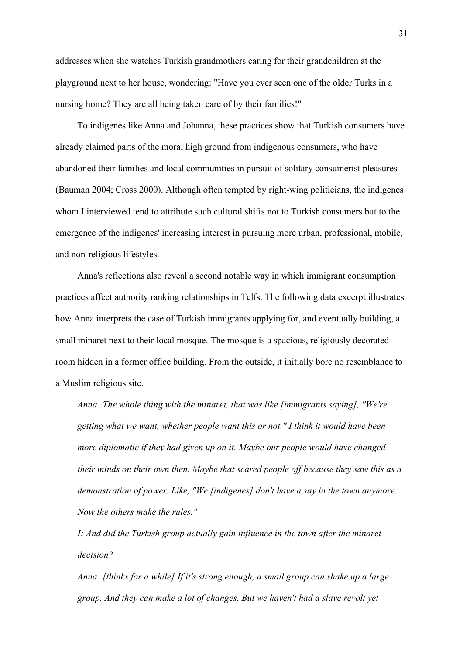addresses when she watches Turkish grandmothers caring for their grandchildren at the playground next to her house, wondering: "Have you ever seen one of the older Turks in a nursing home? They are all being taken care of by their families!"

To indigenes like Anna and Johanna, these practices show that Turkish consumers have already claimed parts of the moral high ground from indigenous consumers, who have abandoned their families and local communities in pursuit of solitary consumerist pleasures (Bauman 2004; Cross 2000). Although often tempted by right-wing politicians, the indigenes whom I interviewed tend to attribute such cultural shifts not to Turkish consumers but to the emergence of the indigenes' increasing interest in pursuing more urban, professional, mobile, and non-religious lifestyles.

Anna's reflections also reveal a second notable way in which immigrant consumption practices affect authority ranking relationships in Telfs. The following data excerpt illustrates how Anna interprets the case of Turkish immigrants applying for, and eventually building, a small minaret next to their local mosque. The mosque is a spacious, religiously decorated room hidden in a former office building. From the outside, it initially bore no resemblance to a Muslim religious site.

*Anna: The whole thing with the minaret, that was like [immigrants saying], "We're getting what we want, whether people want this or not." I think it would have been more diplomatic if they had given up on it. Maybe our people would have changed their minds on their own then. Maybe that scared people off because they saw this as a demonstration of power. Like, "We [indigenes] don't have a say in the town anymore. Now the others make the rules."*

*I: And did the Turkish group actually gain influence in the town after the minaret decision?*

*Anna: [thinks for a while] If it's strong enough, a small group can shake up a large group. And they can make a lot of changes. But we haven't had a slave revolt yet*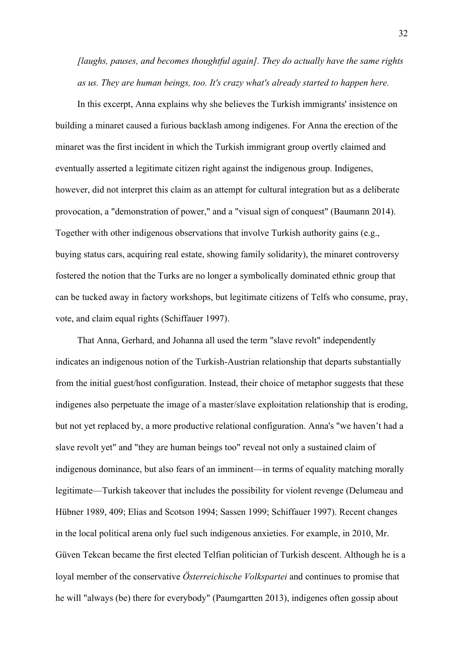*[laughs, pauses, and becomes thoughtful again]. They do actually have the same rights as us. They are human beings, too. It's crazy what's already started to happen here.*

In this excerpt, Anna explains why she believes the Turkish immigrants' insistence on building a minaret caused a furious backlash among indigenes. For Anna the erection of the minaret was the first incident in which the Turkish immigrant group overtly claimed and eventually asserted a legitimate citizen right against the indigenous group. Indigenes, however, did not interpret this claim as an attempt for cultural integration but as a deliberate provocation, a "demonstration of power," and a "visual sign of conquest" (Baumann 2014). Together with other indigenous observations that involve Turkish authority gains (e.g., buying status cars, acquiring real estate, showing family solidarity), the minaret controversy fostered the notion that the Turks are no longer a symbolically dominated ethnic group that can be tucked away in factory workshops, but legitimate citizens of Telfs who consume, pray, vote, and claim equal rights (Schiffauer 1997).

That Anna, Gerhard, and Johanna all used the term "slave revolt" independently indicates an indigenous notion of the Turkish-Austrian relationship that departs substantially from the initial guest/host configuration. Instead, their choice of metaphor suggests that these indigenes also perpetuate the image of a master/slave exploitation relationship that is eroding, but not yet replaced by, a more productive relational configuration. Anna's "we haven't had a slave revolt yet" and "they are human beings too" reveal not only a sustained claim of indigenous dominance, but also fears of an imminent—in terms of equality matching morally legitimate—Turkish takeover that includes the possibility for violent revenge (Delumeau and Hübner 1989, 409; Elias and Scotson 1994; Sassen 1999; Schiffauer 1997). Recent changes in the local political arena only fuel such indigenous anxieties. For example, in 2010, Mr. Güven Tekcan became the first elected Telfian politician of Turkish descent. Although he is a loyal member of the conservative *Österreichische Volkspartei* and continues to promise that he will "always (be) there for everybody" (Paumgartten 2013), indigenes often gossip about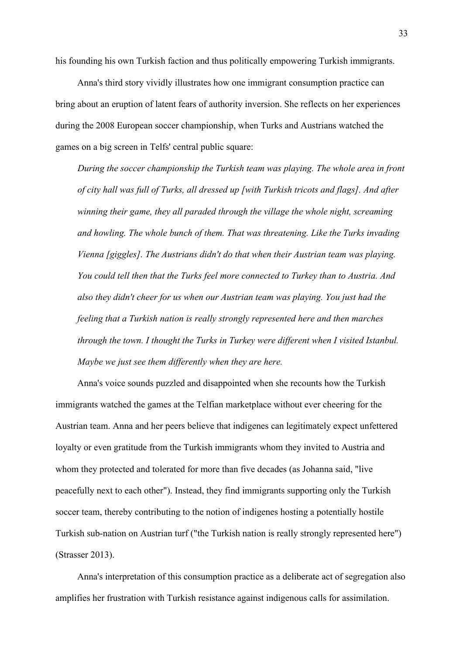his founding his own Turkish faction and thus politically empowering Turkish immigrants.

Anna's third story vividly illustrates how one immigrant consumption practice can bring about an eruption of latent fears of authority inversion. She reflects on her experiences during the 2008 European soccer championship, when Turks and Austrians watched the games on a big screen in Telfs' central public square:

*During the soccer championship the Turkish team was playing. The whole area in front of city hall was full of Turks, all dressed up [with Turkish tricots and flags]. And after winning their game, they all paraded through the village the whole night, screaming and howling. The whole bunch of them. That was threatening. Like the Turks invading Vienna [giggles]. The Austrians didn't do that when their Austrian team was playing. You could tell then that the Turks feel more connected to Turkey than to Austria. And also they didn't cheer for us when our Austrian team was playing. You just had the feeling that a Turkish nation is really strongly represented here and then marches through the town. I thought the Turks in Turkey were different when I visited Istanbul. Maybe we just see them differently when they are here.*

Anna's voice sounds puzzled and disappointed when she recounts how the Turkish immigrants watched the games at the Telfian marketplace without ever cheering for the Austrian team. Anna and her peers believe that indigenes can legitimately expect unfettered loyalty or even gratitude from the Turkish immigrants whom they invited to Austria and whom they protected and tolerated for more than five decades (as Johanna said, "live peacefully next to each other"). Instead, they find immigrants supporting only the Turkish soccer team, thereby contributing to the notion of indigenes hosting a potentially hostile Turkish sub-nation on Austrian turf ("the Turkish nation is really strongly represented here") (Strasser 2013).

Anna's interpretation of this consumption practice as a deliberate act of segregation also amplifies her frustration with Turkish resistance against indigenous calls for assimilation.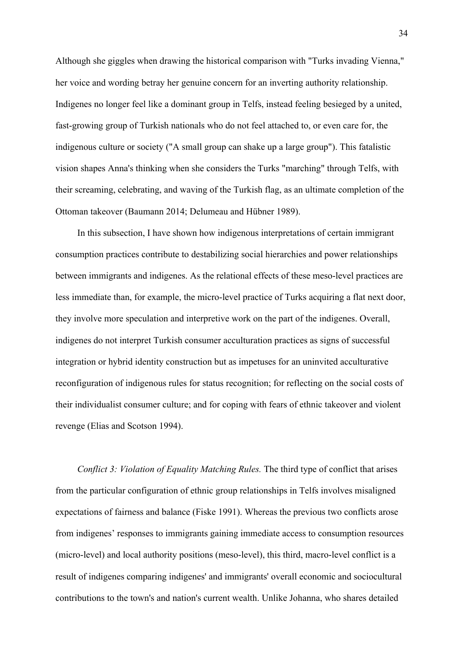Although she giggles when drawing the historical comparison with "Turks invading Vienna," her voice and wording betray her genuine concern for an inverting authority relationship. Indigenes no longer feel like a dominant group in Telfs, instead feeling besieged by a united, fast-growing group of Turkish nationals who do not feel attached to, or even care for, the indigenous culture or society ("A small group can shake up a large group"). This fatalistic vision shapes Anna's thinking when she considers the Turks "marching" through Telfs, with their screaming, celebrating, and waving of the Turkish flag, as an ultimate completion of the Ottoman takeover (Baumann 2014; Delumeau and Hübner 1989).

In this subsection, I have shown how indigenous interpretations of certain immigrant consumption practices contribute to destabilizing social hierarchies and power relationships between immigrants and indigenes. As the relational effects of these meso-level practices are less immediate than, for example, the micro-level practice of Turks acquiring a flat next door, they involve more speculation and interpretive work on the part of the indigenes. Overall, indigenes do not interpret Turkish consumer acculturation practices as signs of successful integration or hybrid identity construction but as impetuses for an uninvited acculturative reconfiguration of indigenous rules for status recognition; for reflecting on the social costs of their individualist consumer culture; and for coping with fears of ethnic takeover and violent revenge (Elias and Scotson 1994).

*Conflict 3: Violation of Equality Matching Rules.* The third type of conflict that arises from the particular configuration of ethnic group relationships in Telfs involves misaligned expectations of fairness and balance (Fiske 1991). Whereas the previous two conflicts arose from indigenes' responses to immigrants gaining immediate access to consumption resources (micro-level) and local authority positions (meso-level), this third, macro-level conflict is a result of indigenes comparing indigenes' and immigrants' overall economic and sociocultural contributions to the town's and nation's current wealth. Unlike Johanna, who shares detailed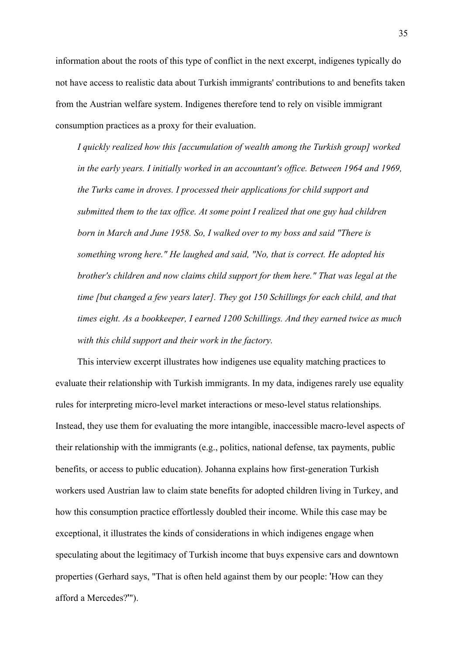information about the roots of this type of conflict in the next excerpt, indigenes typically do not have access to realistic data about Turkish immigrants' contributions to and benefits taken from the Austrian welfare system. Indigenes therefore tend to rely on visible immigrant consumption practices as a proxy for their evaluation.

*I quickly realized how this [accumulation of wealth among the Turkish group] worked in the early years. I initially worked in an accountant's office. Between 1964 and 1969, the Turks came in droves. I processed their applications for child support and submitted them to the tax office. At some point I realized that one guy had children born in March and June 1958. So, I walked over to my boss and said "There is something wrong here." He laughed and said, "No, that is correct. He adopted his brother's children and now claims child support for them here." That was legal at the time [but changed a few years later]. They got 150 Schillings for each child, and that times eight. As a bookkeeper, I earned 1200 Schillings. And they earned twice as much with this child support and their work in the factory.*

This interview excerpt illustrates how indigenes use equality matching practices to evaluate their relationship with Turkish immigrants. In my data, indigenes rarely use equality rules for interpreting micro-level market interactions or meso-level status relationships. Instead, they use them for evaluating the more intangible, inaccessible macro-level aspects of their relationship with the immigrants (e.g., politics, national defense, tax payments, public benefits, or access to public education). Johanna explains how first-generation Turkish workers used Austrian law to claim state benefits for adopted children living in Turkey, and how this consumption practice effortlessly doubled their income. While this case may be exceptional, it illustrates the kinds of considerations in which indigenes engage when speculating about the legitimacy of Turkish income that buys expensive cars and downtown properties (Gerhard says, "That is often held against them by our people: 'How can they afford a Mercedes?'").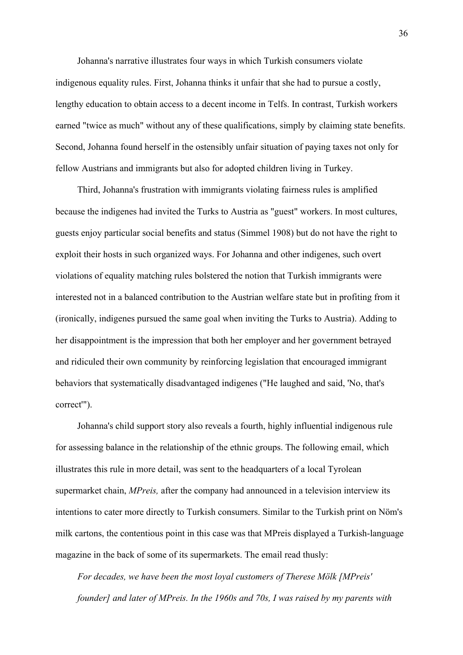Johanna's narrative illustrates four ways in which Turkish consumers violate indigenous equality rules. First, Johanna thinks it unfair that she had to pursue a costly, lengthy education to obtain access to a decent income in Telfs. In contrast, Turkish workers earned "twice as much" without any of these qualifications, simply by claiming state benefits. Second, Johanna found herself in the ostensibly unfair situation of paying taxes not only for fellow Austrians and immigrants but also for adopted children living in Turkey.

Third, Johanna's frustration with immigrants violating fairness rules is amplified because the indigenes had invited the Turks to Austria as "guest" workers. In most cultures, guests enjoy particular social benefits and status (Simmel 1908) but do not have the right to exploit their hosts in such organized ways. For Johanna and other indigenes, such overt violations of equality matching rules bolstered the notion that Turkish immigrants were interested not in a balanced contribution to the Austrian welfare state but in profiting from it (ironically, indigenes pursued the same goal when inviting the Turks to Austria). Adding to her disappointment is the impression that both her employer and her government betrayed and ridiculed their own community by reinforcing legislation that encouraged immigrant behaviors that systematically disadvantaged indigenes ("He laughed and said, 'No, that's correct'").

Johanna's child support story also reveals a fourth, highly influential indigenous rule for assessing balance in the relationship of the ethnic groups. The following email, which illustrates this rule in more detail, was sent to the headquarters of a local Tyrolean supermarket chain, *MPreis*, after the company had announced in a television interview its intentions to cater more directly to Turkish consumers. Similar to the Turkish print on Nöm's milk cartons, the contentious point in this case was that MPreis displayed a Turkish-language magazine in the back of some of its supermarkets. The email read thusly:

*For decades, we have been the most loyal customers of Therese Mölk [MPreis' founder] and later of MPreis. In the 1960s and 70s, I was raised by my parents with*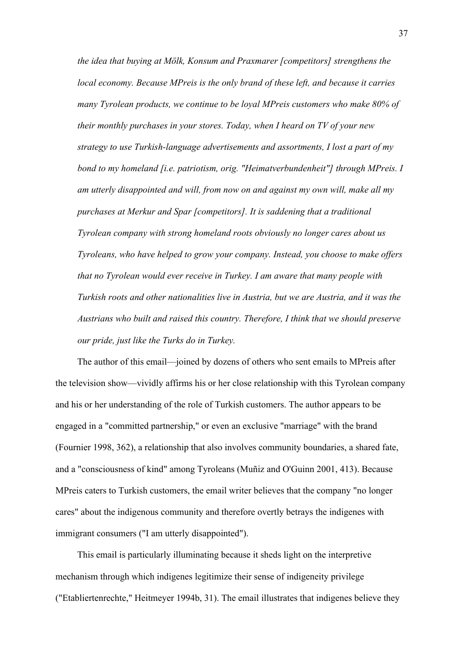*the idea that buying at Mölk, Konsum and Praxmarer [competitors] strengthens the local economy. Because MPreis is the only brand of these left, and because it carries many Tyrolean products, we continue to be loyal MPreis customers who make 80% of their monthly purchases in your stores. Today, when I heard on TV of your new strategy to use Turkish-language advertisements and assortments, I lost a part of my bond to my homeland [i.e. patriotism, orig. "Heimatverbundenheit"] through MPreis. I am utterly disappointed and will, from now on and against my own will, make all my purchases at Merkur and Spar [competitors]. It is saddening that a traditional Tyrolean company with strong homeland roots obviously no longer cares about us Tyroleans, who have helped to grow your company. Instead, you choose to make offers that no Tyrolean would ever receive in Turkey. I am aware that many people with Turkish roots and other nationalities live in Austria, but we are Austria, and it was the Austrians who built and raised this country. Therefore, I think that we should preserve our pride, just like the Turks do in Turkey.*

The author of this email—joined by dozens of others who sent emails to MPreis after the television show—vividly affirms his or her close relationship with this Tyrolean company and his or her understanding of the role of Turkish customers. The author appears to be engaged in a "committed partnership," or even an exclusive "marriage" with the brand (Fournier 1998, 362), a relationship that also involves community boundaries, a shared fate, and a "consciousness of kind" among Tyroleans (Muñiz and O'Guinn 2001, 413). Because MPreis caters to Turkish customers, the email writer believes that the company "no longer cares" about the indigenous community and therefore overtly betrays the indigenes with immigrant consumers ("I am utterly disappointed").

This email is particularly illuminating because it sheds light on the interpretive mechanism through which indigenes legitimize their sense of indigeneity privilege ("Etabliertenrechte," Heitmeyer 1994b, 31). The email illustrates that indigenes believe they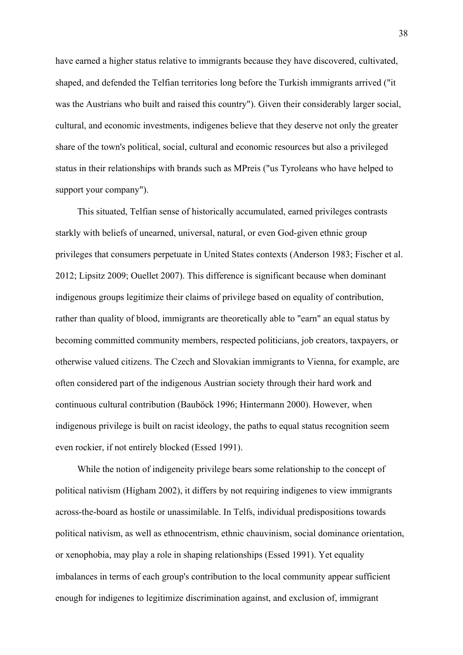have earned a higher status relative to immigrants because they have discovered, cultivated, shaped, and defended the Telfian territories long before the Turkish immigrants arrived ("it was the Austrians who built and raised this country"). Given their considerably larger social, cultural, and economic investments, indigenes believe that they deserve not only the greater share of the town's political, social, cultural and economic resources but also a privileged status in their relationships with brands such as MPreis ("us Tyroleans who have helped to support your company").

This situated, Telfian sense of historically accumulated, earned privileges contrasts starkly with beliefs of unearned, universal, natural, or even God-given ethnic group privileges that consumers perpetuate in United States contexts (Anderson 1983; Fischer et al. 2012; Lipsitz 2009; Ouellet 2007). This difference is significant because when dominant indigenous groups legitimize their claims of privilege based on equality of contribution, rather than quality of blood, immigrants are theoretically able to "earn" an equal status by becoming committed community members, respected politicians, job creators, taxpayers, or otherwise valued citizens. The Czech and Slovakian immigrants to Vienna, for example, are often considered part of the indigenous Austrian society through their hard work and continuous cultural contribution (Bauböck 1996; Hintermann 2000). However, when indigenous privilege is built on racist ideology, the paths to equal status recognition seem even rockier, if not entirely blocked (Essed 1991).

While the notion of indigeneity privilege bears some relationship to the concept of political nativism (Higham 2002), it differs by not requiring indigenes to view immigrants across-the-board as hostile or unassimilable. In Telfs, individual predispositions towards political nativism, as well as ethnocentrism, ethnic chauvinism, social dominance orientation, or xenophobia, may play a role in shaping relationships (Essed 1991). Yet equality imbalances in terms of each group's contribution to the local community appear sufficient enough for indigenes to legitimize discrimination against, and exclusion of, immigrant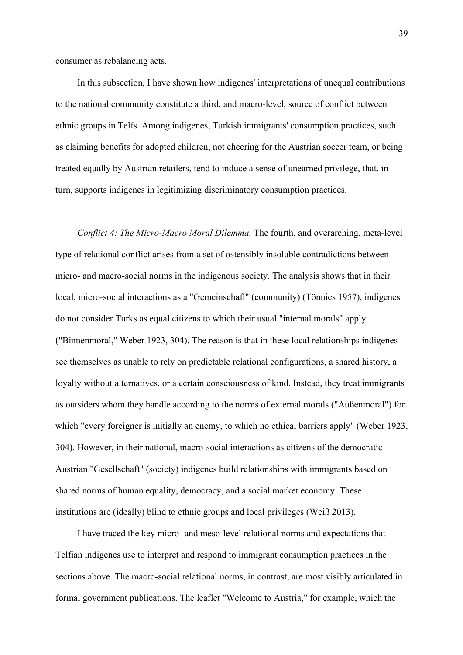consumer as rebalancing acts.

In this subsection, I have shown how indigenes' interpretations of unequal contributions to the national community constitute a third, and macro-level, source of conflict between ethnic groups in Telfs. Among indigenes, Turkish immigrants' consumption practices, such as claiming benefits for adopted children, not cheering for the Austrian soccer team, or being treated equally by Austrian retailers, tend to induce a sense of unearned privilege, that, in turn, supports indigenes in legitimizing discriminatory consumption practices.

*Conflict 4: The Micro-Macro Moral Dilemma.* The fourth, and overarching, meta-level type of relational conflict arises from a set of ostensibly insoluble contradictions between micro- and macro-social norms in the indigenous society. The analysis shows that in their local, micro-social interactions as a "Gemeinschaft" (community) (Tönnies 1957), indigenes do not consider Turks as equal citizens to which their usual "internal morals" apply ("Binnenmoral," Weber 1923, 304). The reason is that in these local relationships indigenes see themselves as unable to rely on predictable relational configurations, a shared history, a loyalty without alternatives, or a certain consciousness of kind. Instead, they treat immigrants as outsiders whom they handle according to the norms of external morals ("Außenmoral") for which "every foreigner is initially an enemy, to which no ethical barriers apply" (Weber 1923, 304). However, in their national, macro-social interactions as citizens of the democratic Austrian "Gesellschaft" (society) indigenes build relationships with immigrants based on shared norms of human equality, democracy, and a social market economy. These institutions are (ideally) blind to ethnic groups and local privileges (Weiß 2013).

I have traced the key micro- and meso-level relational norms and expectations that Telfian indigenes use to interpret and respond to immigrant consumption practices in the sections above. The macro-social relational norms, in contrast, are most visibly articulated in formal government publications. The leaflet "Welcome to Austria," for example, which the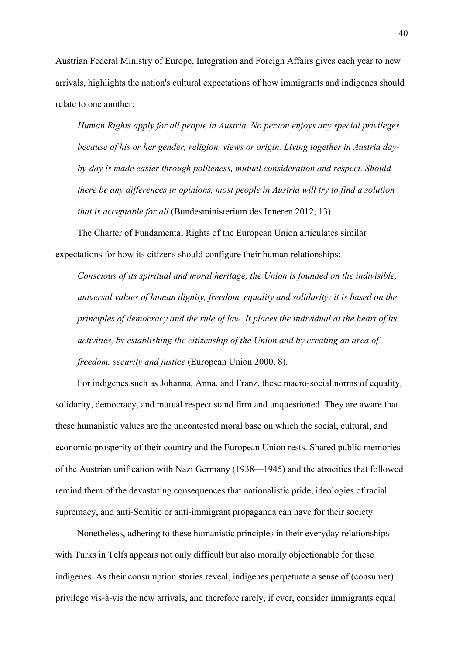Austrian Federal Ministry of Europe, Integration and Foreign Affairs gives each year to new arrivals, highlights the nation's cultural expectations of how immigrants and indigenes should relate to one another:

*Human Rights apply for all people in Austria. No person enjoys any special privileges because of his or her gender, religion, views or origin. Living together in Austria dayby-day is made easier through politeness, mutual consideration and respect. Should there be any differences in opinions, most people in Austria will try to find a solution that is acceptable for all* (Bundesministerium des Inneren 2012, 13)*.*

The Charter of Fundamental Rights of the European Union articulates similar expectations for how its citizens should configure their human relationships:

*Conscious of its spiritual and moral heritage, the Union is founded on the indivisible, universal values of human dignity, freedom, equality and solidarity; it is based on the principles of democracy and the rule of law. It places the individual at the heart of its activities, by establishing the citizenship of the Union and by creating an area of freedom, security and justice* (European Union 2000, 8).

For indigenes such as Johanna, Anna, and Franz, these macro-social norms of equality, solidarity, democracy, and mutual respect stand firm and unquestioned. They are aware that these humanistic values are the uncontested moral base on which the social, cultural, and economic prosperity of their country and the European Union rests. Shared public memories of the Austrian unification with Nazi Germany (1938—1945) and the atrocities that followed remind them of the devastating consequences that nationalistic pride, ideologies of racial supremacy, and anti-Semitic or anti-immigrant propaganda can have for their society.

Nonetheless, adhering to these humanistic principles in their everyday relationships with Turks in Telfs appears not only difficult but also morally objectionable for these indigenes. As their consumption stories reveal, indigenes perpetuate a sense of (consumer) privilege vis-à-vis the new arrivals, and therefore rarely, if ever, consider immigrants equal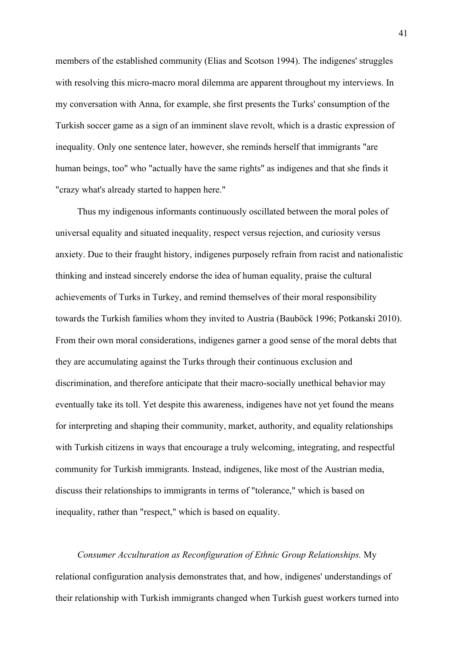members of the established community (Elias and Scotson 1994). The indigenes' struggles with resolving this micro-macro moral dilemma are apparent throughout my interviews. In my conversation with Anna, for example, she first presents the Turks' consumption of the Turkish soccer game as a sign of an imminent slave revolt, which is a drastic expression of inequality. Only one sentence later, however, she reminds herself that immigrants "are human beings, too" who "actually have the same rights" as indigenes and that she finds it "crazy what's already started to happen here."

Thus my indigenous informants continuously oscillated between the moral poles of universal equality and situated inequality, respect versus rejection, and curiosity versus anxiety. Due to their fraught history, indigenes purposely refrain from racist and nationalistic thinking and instead sincerely endorse the idea of human equality, praise the cultural achievements of Turks in Turkey, and remind themselves of their moral responsibility towards the Turkish families whom they invited to Austria (Bauböck 1996; Potkanski 2010). From their own moral considerations, indigenes garner a good sense of the moral debts that they are accumulating against the Turks through their continuous exclusion and discrimination, and therefore anticipate that their macro-socially unethical behavior may eventually take its toll. Yet despite this awareness, indigenes have not yet found the means for interpreting and shaping their community, market, authority, and equality relationships with Turkish citizens in ways that encourage a truly welcoming, integrating, and respectful community for Turkish immigrants. Instead, indigenes, like most of the Austrian media, discuss their relationships to immigrants in terms of "tolerance," which is based on inequality, rather than "respect," which is based on equality.

*Consumer Acculturation as Reconfiguration of Ethnic Group Relationships.* My relational configuration analysis demonstrates that, and how, indigenes' understandings of their relationship with Turkish immigrants changed when Turkish guest workers turned into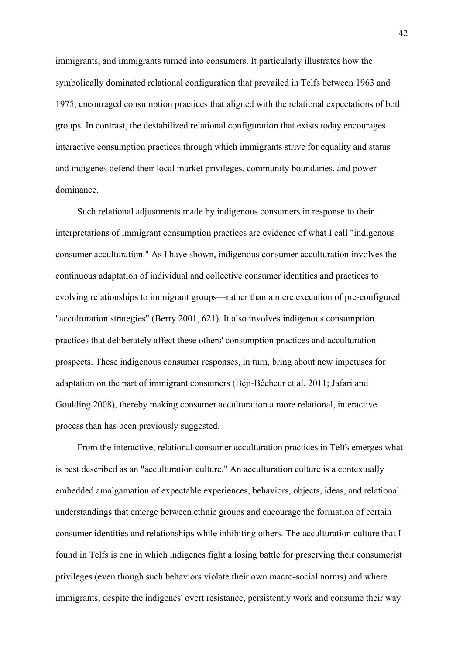immigrants, and immigrants turned into consumers. It particularly illustrates how the symbolically dominated relational configuration that prevailed in Telfs between 1963 and 1975, encouraged consumption practices that aligned with the relational expectations of both groups. In contrast, the destabilized relational configuration that exists today encourages interactive consumption practices through which immigrants strive for equality and status and indigenes defend their local market privileges, community boundaries, and power dominance.

Such relational adjustments made by indigenous consumers in response to their interpretations of immigrant consumption practices are evidence of what I call "indigenous consumer acculturation." As I have shown, indigenous consumer acculturation involves the continuous adaptation of individual and collective consumer identities and practices to evolving relationships to immigrant groups—rather than a mere execution of pre-configured "acculturation strategies" (Berry 2001, 621). It also involves indigenous consumption practices that deliberately affect these others' consumption practices and acculturation prospects. These indigenous consumer responses, in turn, bring about new impetuses for adaptation on the part of immigrant consumers (Béji-Bécheur et al. 2011; Jafari and Goulding 2008), thereby making consumer acculturation a more relational, interactive process than has been previously suggested.

From the interactive, relational consumer acculturation practices in Telfs emerges what is best described as an "acculturation culture." An acculturation culture is a contextually embedded amalgamation of expectable experiences, behaviors, objects, ideas, and relational understandings that emerge between ethnic groups and encourage the formation of certain consumer identities and relationships while inhibiting others. The acculturation culture that I found in Telfs is one in which indigenes fight a losing battle for preserving their consumerist privileges (even though such behaviors violate their own macro-social norms) and where immigrants, despite the indigenes' overt resistance, persistently work and consume their way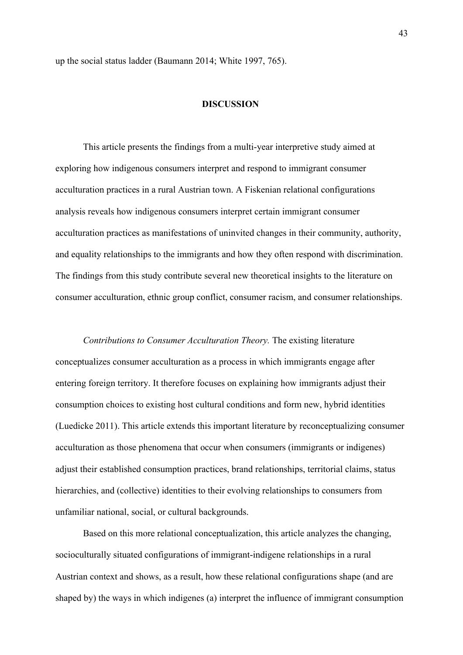up the social status ladder (Baumann 2014; White 1997, 765).

#### **DISCUSSION**

This article presents the findings from a multi-year interpretive study aimed at exploring how indigenous consumers interpret and respond to immigrant consumer acculturation practices in a rural Austrian town. A Fiskenian relational configurations analysis reveals how indigenous consumers interpret certain immigrant consumer acculturation practices as manifestations of uninvited changes in their community, authority, and equality relationships to the immigrants and how they often respond with discrimination. The findings from this study contribute several new theoretical insights to the literature on consumer acculturation, ethnic group conflict, consumer racism, and consumer relationships.

*Contributions to Consumer Acculturation Theory.* The existing literature conceptualizes consumer acculturation as a process in which immigrants engage after entering foreign territory. It therefore focuses on explaining how immigrants adjust their consumption choices to existing host cultural conditions and form new, hybrid identities (Luedicke 2011). This article extends this important literature by reconceptualizing consumer acculturation as those phenomena that occur when consumers (immigrants or indigenes) adjust their established consumption practices, brand relationships, territorial claims, status hierarchies, and (collective) identities to their evolving relationships to consumers from unfamiliar national, social, or cultural backgrounds.

Based on this more relational conceptualization, this article analyzes the changing, socioculturally situated configurations of immigrant-indigene relationships in a rural Austrian context and shows, as a result, how these relational configurations shape (and are shaped by) the ways in which indigenes (a) interpret the influence of immigrant consumption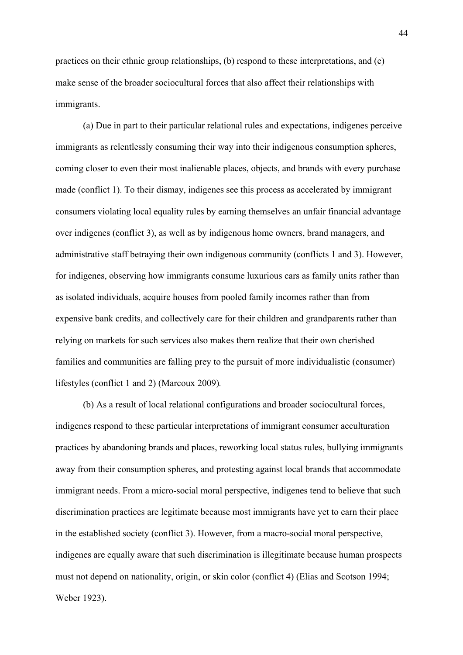practices on their ethnic group relationships, (b) respond to these interpretations, and (c) make sense of the broader sociocultural forces that also affect their relationships with immigrants.

(a) Due in part to their particular relational rules and expectations, indigenes perceive immigrants as relentlessly consuming their way into their indigenous consumption spheres, coming closer to even their most inalienable places, objects, and brands with every purchase made (conflict 1). To their dismay, indigenes see this process as accelerated by immigrant consumers violating local equality rules by earning themselves an unfair financial advantage over indigenes (conflict 3), as well as by indigenous home owners, brand managers, and administrative staff betraying their own indigenous community (conflicts 1 and 3). However, for indigenes, observing how immigrants consume luxurious cars as family units rather than as isolated individuals, acquire houses from pooled family incomes rather than from expensive bank credits, and collectively care for their children and grandparents rather than relying on markets for such services also makes them realize that their own cherished families and communities are falling prey to the pursuit of more individualistic (consumer) lifestyles (conflict 1 and 2) (Marcoux 2009)*.*

(b) As a result of local relational configurations and broader sociocultural forces, indigenes respond to these particular interpretations of immigrant consumer acculturation practices by abandoning brands and places, reworking local status rules, bullying immigrants away from their consumption spheres, and protesting against local brands that accommodate immigrant needs. From a micro-social moral perspective, indigenes tend to believe that such discrimination practices are legitimate because most immigrants have yet to earn their place in the established society (conflict 3). However, from a macro-social moral perspective, indigenes are equally aware that such discrimination is illegitimate because human prospects must not depend on nationality, origin, or skin color (conflict 4) (Elias and Scotson 1994; Weber 1923).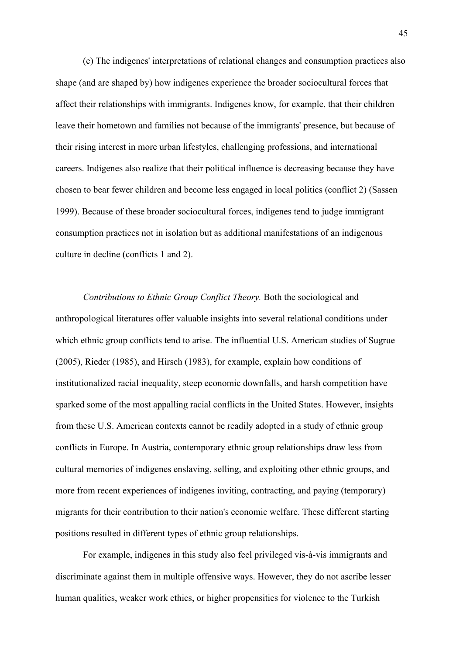(c) The indigenes' interpretations of relational changes and consumption practices also shape (and are shaped by) how indigenes experience the broader sociocultural forces that affect their relationships with immigrants. Indigenes know, for example, that their children leave their hometown and families not because of the immigrants' presence, but because of their rising interest in more urban lifestyles, challenging professions, and international careers. Indigenes also realize that their political influence is decreasing because they have chosen to bear fewer children and become less engaged in local politics (conflict 2) (Sassen 1999). Because of these broader sociocultural forces, indigenes tend to judge immigrant consumption practices not in isolation but as additional manifestations of an indigenous culture in decline (conflicts 1 and 2).

*Contributions to Ethnic Group Conflict Theory.* Both the sociological and anthropological literatures offer valuable insights into several relational conditions under which ethnic group conflicts tend to arise. The influential U.S. American studies of Sugrue (2005), Rieder (1985), and Hirsch (1983), for example, explain how conditions of institutionalized racial inequality, steep economic downfalls, and harsh competition have sparked some of the most appalling racial conflicts in the United States. However, insights from these U.S. American contexts cannot be readily adopted in a study of ethnic group conflicts in Europe. In Austria, contemporary ethnic group relationships draw less from cultural memories of indigenes enslaving, selling, and exploiting other ethnic groups, and more from recent experiences of indigenes inviting, contracting, and paying (temporary) migrants for their contribution to their nation's economic welfare. These different starting positions resulted in different types of ethnic group relationships.

For example, indigenes in this study also feel privileged vis-à-vis immigrants and discriminate against them in multiple offensive ways. However, they do not ascribe lesser human qualities, weaker work ethics, or higher propensities for violence to the Turkish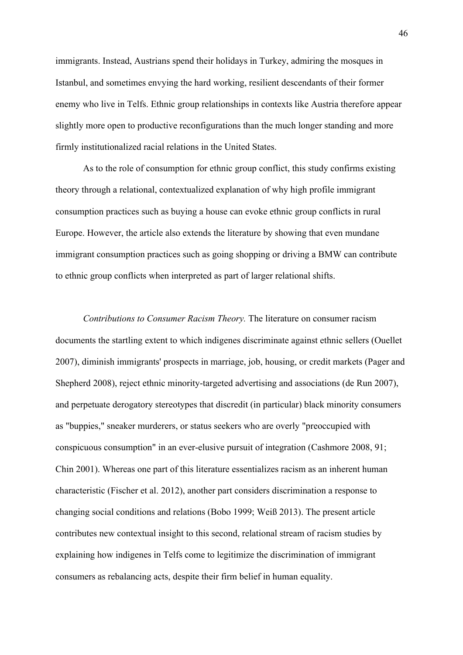immigrants. Instead, Austrians spend their holidays in Turkey, admiring the mosques in Istanbul, and sometimes envying the hard working, resilient descendants of their former enemy who live in Telfs. Ethnic group relationships in contexts like Austria therefore appear slightly more open to productive reconfigurations than the much longer standing and more firmly institutionalized racial relations in the United States.

As to the role of consumption for ethnic group conflict, this study confirms existing theory through a relational, contextualized explanation of why high profile immigrant consumption practices such as buying a house can evoke ethnic group conflicts in rural Europe. However, the article also extends the literature by showing that even mundane immigrant consumption practices such as going shopping or driving a BMW can contribute to ethnic group conflicts when interpreted as part of larger relational shifts.

*Contributions to Consumer Racism Theory.* The literature on consumer racism documents the startling extent to which indigenes discriminate against ethnic sellers (Ouellet 2007), diminish immigrants' prospects in marriage, job, housing, or credit markets (Pager and Shepherd 2008), reject ethnic minority-targeted advertising and associations (de Run 2007), and perpetuate derogatory stereotypes that discredit (in particular) black minority consumers as "buppies," sneaker murderers, or status seekers who are overly "preoccupied with conspicuous consumption" in an ever-elusive pursuit of integration (Cashmore 2008, 91; Chin 2001). Whereas one part of this literature essentializes racism as an inherent human characteristic (Fischer et al. 2012), another part considers discrimination a response to changing social conditions and relations (Bobo 1999; Weiß 2013). The present article contributes new contextual insight to this second, relational stream of racism studies by explaining how indigenes in Telfs come to legitimize the discrimination of immigrant consumers as rebalancing acts, despite their firm belief in human equality.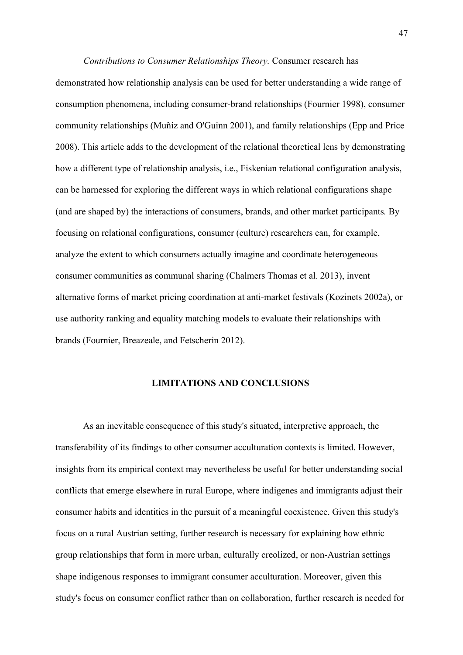#### *Contributions to Consumer Relationships Theory.* Consumer research has

demonstrated how relationship analysis can be used for better understanding a wide range of consumption phenomena, including consumer-brand relationships (Fournier 1998), consumer community relationships (Muñiz and O'Guinn 2001), and family relationships (Epp and Price 2008). This article adds to the development of the relational theoretical lens by demonstrating how a different type of relationship analysis, i.e., Fiskenian relational configuration analysis, can be harnessed for exploring the different ways in which relational configurations shape (and are shaped by) the interactions of consumers, brands, and other market participants*.* By focusing on relational configurations, consumer (culture) researchers can, for example, analyze the extent to which consumers actually imagine and coordinate heterogeneous consumer communities as communal sharing (Chalmers Thomas et al. 2013), invent alternative forms of market pricing coordination at anti-market festivals (Kozinets 2002a), or use authority ranking and equality matching models to evaluate their relationships with brands (Fournier, Breazeale, and Fetscherin 2012).

## **LIMITATIONS AND CONCLUSIONS**

As an inevitable consequence of this study's situated, interpretive approach, the transferability of its findings to other consumer acculturation contexts is limited. However, insights from its empirical context may nevertheless be useful for better understanding social conflicts that emerge elsewhere in rural Europe, where indigenes and immigrants adjust their consumer habits and identities in the pursuit of a meaningful coexistence. Given this study's focus on a rural Austrian setting, further research is necessary for explaining how ethnic group relationships that form in more urban, culturally creolized, or non-Austrian settings shape indigenous responses to immigrant consumer acculturation. Moreover, given this study's focus on consumer conflict rather than on collaboration, further research is needed for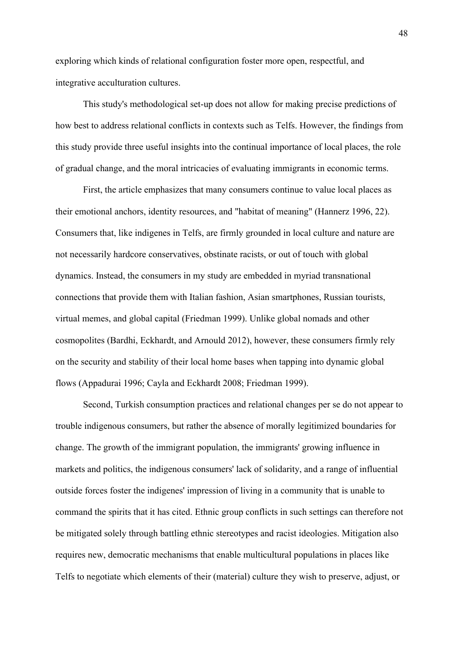exploring which kinds of relational configuration foster more open, respectful, and integrative acculturation cultures.

This study's methodological set-up does not allow for making precise predictions of how best to address relational conflicts in contexts such as Telfs. However, the findings from this study provide three useful insights into the continual importance of local places, the role of gradual change, and the moral intricacies of evaluating immigrants in economic terms.

First, the article emphasizes that many consumers continue to value local places as their emotional anchors, identity resources, and "habitat of meaning" (Hannerz 1996, 22). Consumers that, like indigenes in Telfs, are firmly grounded in local culture and nature are not necessarily hardcore conservatives, obstinate racists, or out of touch with global dynamics. Instead, the consumers in my study are embedded in myriad transnational connections that provide them with Italian fashion, Asian smartphones, Russian tourists, virtual memes, and global capital (Friedman 1999). Unlike global nomads and other cosmopolites (Bardhi, Eckhardt, and Arnould 2012), however, these consumers firmly rely on the security and stability of their local home bases when tapping into dynamic global flows (Appadurai 1996; Cayla and Eckhardt 2008; Friedman 1999).

Second, Turkish consumption practices and relational changes per se do not appear to trouble indigenous consumers, but rather the absence of morally legitimized boundaries for change. The growth of the immigrant population, the immigrants' growing influence in markets and politics, the indigenous consumers' lack of solidarity, and a range of influential outside forces foster the indigenes' impression of living in a community that is unable to command the spirits that it has cited. Ethnic group conflicts in such settings can therefore not be mitigated solely through battling ethnic stereotypes and racist ideologies. Mitigation also requires new, democratic mechanisms that enable multicultural populations in places like Telfs to negotiate which elements of their (material) culture they wish to preserve, adjust, or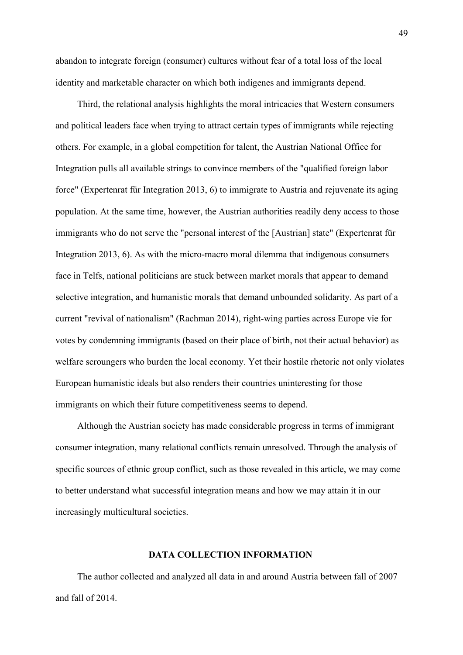abandon to integrate foreign (consumer) cultures without fear of a total loss of the local identity and marketable character on which both indigenes and immigrants depend.

Third, the relational analysis highlights the moral intricacies that Western consumers and political leaders face when trying to attract certain types of immigrants while rejecting others. For example, in a global competition for talent, the Austrian National Office for Integration pulls all available strings to convince members of the "qualified foreign labor force" (Expertenrat für Integration 2013, 6) to immigrate to Austria and rejuvenate its aging population. At the same time, however, the Austrian authorities readily deny access to those immigrants who do not serve the "personal interest of the [Austrian] state" (Expertenrat für Integration 2013, 6). As with the micro-macro moral dilemma that indigenous consumers face in Telfs, national politicians are stuck between market morals that appear to demand selective integration, and humanistic morals that demand unbounded solidarity. As part of a current "revival of nationalism" (Rachman 2014), right-wing parties across Europe vie for votes by condemning immigrants (based on their place of birth, not their actual behavior) as welfare scroungers who burden the local economy. Yet their hostile rhetoric not only violates European humanistic ideals but also renders their countries uninteresting for those immigrants on which their future competitiveness seems to depend.

Although the Austrian society has made considerable progress in terms of immigrant consumer integration, many relational conflicts remain unresolved. Through the analysis of specific sources of ethnic group conflict, such as those revealed in this article, we may come to better understand what successful integration means and how we may attain it in our increasingly multicultural societies.

#### **DATA COLLECTION INFORMATION**

The author collected and analyzed all data in and around Austria between fall of 2007 and fall of 2014.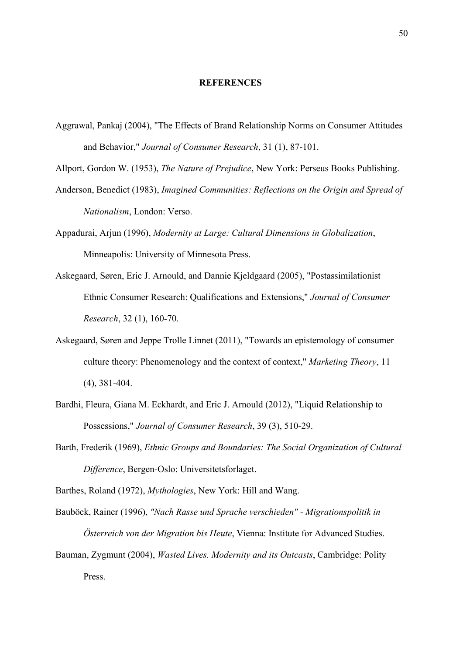#### **REFERENCES**

Aggrawal, Pankaj (2004), "The Effects of Brand Relationship Norms on Consumer Attitudes and Behavior," *Journal of Consumer Research*, 31 (1), 87-101.

Allport, Gordon W. (1953), *The Nature of Prejudice*, New York: Perseus Books Publishing.

- Anderson, Benedict (1983), *Imagined Communities: Reflections on the Origin and Spread of Nationalism*, London: Verso.
- Appadurai, Arjun (1996), *Modernity at Large: Cultural Dimensions in Globalization*, Minneapolis: University of Minnesota Press.
- Askegaard, Søren, Eric J. Arnould, and Dannie Kjeldgaard (2005), "Postassimilationist Ethnic Consumer Research: Qualifications and Extensions," *Journal of Consumer Research*, 32 (1), 160-70.
- Askegaard, Søren and Jeppe Trolle Linnet (2011), "Towards an epistemology of consumer culture theory: Phenomenology and the context of context," *Marketing Theory*, 11 (4), 381-404.
- Bardhi, Fleura, Giana M. Eckhardt, and Eric J. Arnould (2012), "Liquid Relationship to Possessions," *Journal of Consumer Research*, 39 (3), 510-29.
- Barth, Frederik (1969), *Ethnic Groups and Boundaries: The Social Organization of Cultural Difference*, Bergen-Oslo: Universitetsforlaget.
- Barthes, Roland (1972), *Mythologies*, New York: Hill and Wang.
- Bauböck, Rainer (1996), *"Nach Rasse und Sprache verschieden" - Migrationspolitik in Österreich von der Migration bis Heute*, Vienna: Institute for Advanced Studies.
- Bauman, Zygmunt (2004), *Wasted Lives. Modernity and its Outcasts*, Cambridge: Polity Press.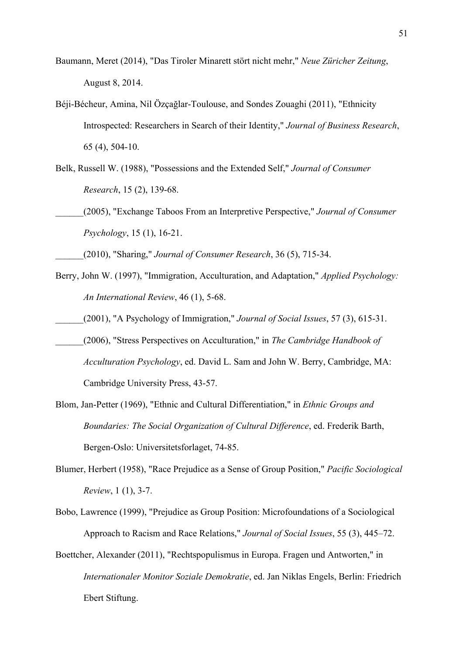Baumann, Meret (2014), "Das Tiroler Minarett stört nicht mehr," *Neue Züricher Zeitung*, August 8, 2014.

- Béji-Bécheur, Amina, Nil Özçağlar-Toulouse, and Sondes Zouaghi (2011), "Ethnicity Introspected: Researchers in Search of their Identity," *Journal of Business Research*, 65 (4), 504-10.
- Belk, Russell W. (1988), "Possessions and the Extended Self," *Journal of Consumer Research*, 15 (2), 139-68.
- \_\_\_\_\_\_(2005), "Exchange Taboos From an Interpretive Perspective," *Journal of Consumer Psychology*, 15 (1), 16-21.
	- \_\_\_\_\_\_(2010), "Sharing," *Journal of Consumer Research*, 36 (5), 715-34.
- Berry, John W. (1997), "Immigration, Acculturation, and Adaptation," *Applied Psychology: An International Review*, 46 (1), 5-68.
- \_\_\_\_\_\_(2001), "A Psychology of Immigration," *Journal of Social Issues*, 57 (3), 615-31.
- \_\_\_\_\_\_(2006), "Stress Perspectives on Acculturation," in *The Cambridge Handbook of Acculturation Psychology*, ed. David L. Sam and John W. Berry, Cambridge, MA: Cambridge University Press, 43-57.
- Blom, Jan-Petter (1969), "Ethnic and Cultural Differentiation," in *Ethnic Groups and Boundaries: The Social Organization of Cultural Difference*, ed. Frederik Barth, Bergen-Oslo: Universitetsforlaget, 74-85.

Blumer, Herbert (1958), "Race Prejudice as a Sense of Group Position," *Pacific Sociological Review*, 1 (1), 3-7.

Bobo, Lawrence (1999), "Prejudice as Group Position: Microfoundations of a Sociological Approach to Racism and Race Relations," *Journal of Social Issues*, 55 (3), 445–72.

Boettcher, Alexander (2011), "Rechtspopulismus in Europa. Fragen und Antworten," in *Internationaler Monitor Soziale Demokratie*, ed. Jan Niklas Engels, Berlin: Friedrich Ebert Stiftung.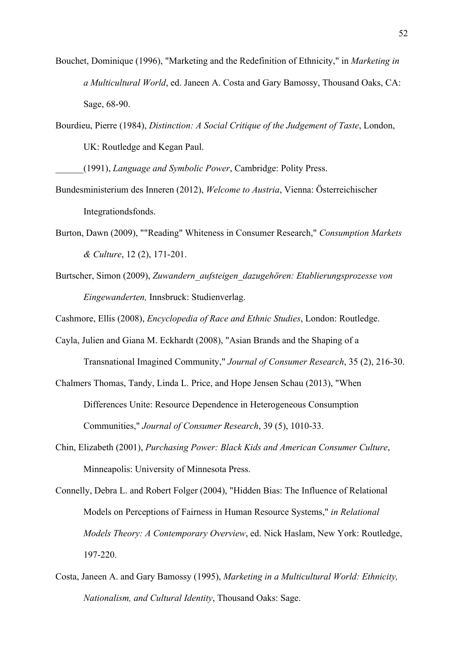- Bouchet, Dominique (1996), "Marketing and the Redefinition of Ethnicity," in *Marketing in a Multicultural World*, ed. Janeen A. Costa and Gary Bamossy, Thousand Oaks, CA: Sage, 68-90.
- Bourdieu, Pierre (1984), *Distinction: A Social Critique of the Judgement of Taste*, London, UK: Routledge and Kegan Paul.
	- \_\_\_\_\_\_(1991), *Language and Symbolic Power*, Cambridge: Polity Press.
- Bundesministerium des Inneren (2012), *Welcome to Austria*, Vienna: Österreichischer Integrationdsfonds.
- Burton, Dawn (2009), ""Reading" Whiteness in Consumer Research," *Consumption Markets & Culture*, 12 (2), 171-201.
- Burtscher, Simon (2009), *Zuwandern\_aufsteigen\_dazugehören: Etablierungsprozesse von Eingewanderten,* Innsbruck: Studienverlag.

Cashmore, Ellis (2008), *Encyclopedia of Race and Ethnic Studies*, London: Routledge.

- Cayla, Julien and Giana M. Eckhardt (2008), "Asian Brands and the Shaping of a Transnational Imagined Community," *Journal of Consumer Research*, 35 (2), 216-30.
- Chalmers Thomas, Tandy, Linda L. Price, and Hope Jensen Schau (2013), "When Differences Unite: Resource Dependence in Heterogeneous Consumption Communities," *Journal of Consumer Research*, 39 (5), 1010-33.
- Chin, Elizabeth (2001), *Purchasing Power: Black Kids and American Consumer Culture*, Minneapolis: University of Minnesota Press.
- Connelly, Debra L. and Robert Folger (2004), "Hidden Bias: The Influence of Relational Models on Perceptions of Fairness in Human Resource Systems," *in Relational Models Theory: A Contemporary Overview*, ed. Nick Haslam, New York: Routledge, 197-220.
- Costa, Janeen A. and Gary Bamossy (1995), *Marketing in a Multicultural World: Ethnicity, Nationalism, and Cultural Identity*, Thousand Oaks: Sage.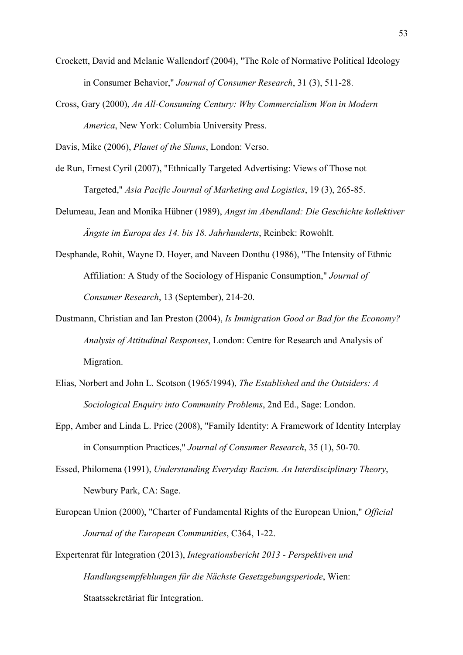- Crockett, David and Melanie Wallendorf (2004), "The Role of Normative Political Ideology in Consumer Behavior," *Journal of Consumer Research*, 31 (3), 511-28.
- Cross, Gary (2000), *An All-Consuming Century: Why Commercialism Won in Modern America*, New York: Columbia University Press.

Davis, Mike (2006), *Planet of the Slums*, London: Verso.

- de Run, Ernest Cyril (2007), "Ethnically Targeted Advertising: Views of Those not Targeted," *Asia Pacific Journal of Marketing and Logistics*, 19 (3), 265-85.
- Delumeau, Jean and Monika Hübner (1989), *Angst im Abendland: Die Geschichte kollektiver Ängste im Europa des 14. bis 18. Jahrhunderts*, Reinbek: Rowohlt.
- Desphande, Rohit, Wayne D. Hoyer, and Naveen Donthu (1986), "The Intensity of Ethnic Affiliation: A Study of the Sociology of Hispanic Consumption," *Journal of Consumer Research*, 13 (September), 214-20.
- Dustmann, Christian and Ian Preston (2004), *Is Immigration Good or Bad for the Economy? Analysis of Attitudinal Responses*, London: Centre for Research and Analysis of Migration.
- Elias, Norbert and John L. Scotson (1965/1994), *The Established and the Outsiders: A Sociological Enquiry into Community Problems*, 2nd Ed., Sage: London.
- Epp, Amber and Linda L. Price (2008), "Family Identity: A Framework of Identity Interplay in Consumption Practices," *Journal of Consumer Research*, 35 (1), 50-70.
- Essed, Philomena (1991), *Understanding Everyday Racism. An Interdisciplinary Theory*, Newbury Park, CA: Sage.
- European Union (2000), "Charter of Fundamental Rights of the European Union," *Official Journal of the European Communities*, C364, 1-22.
- Expertenrat für Integration (2013), *Integrationsbericht 2013 - Perspektiven und Handlungsempfehlungen für die Nächste Gesetzgebungsperiode*, Wien: Staatssekretäriat für Integration.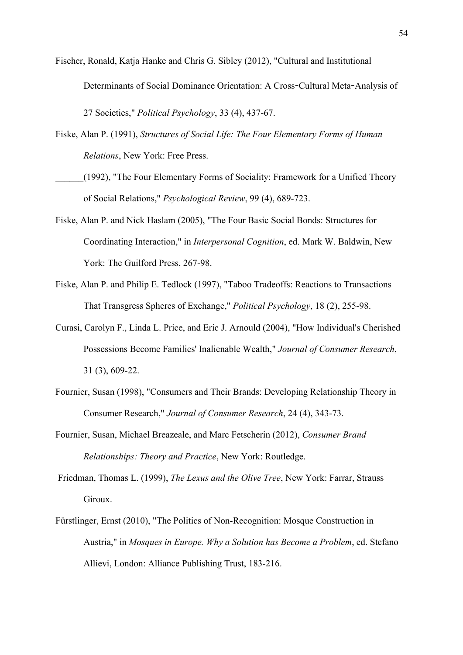Fischer, Ronald, Katja Hanke and Chris G. Sibley (2012), "Cultural and Institutional Determinants of Social Dominance Orientation: A Cross**-**Cultural Meta**-**Analysis of 27 Societies," *Political Psychology*, 33 (4), 437-67.

- Fiske, Alan P. (1991), *Structures of Social Life: The Four Elementary Forms of Human Relations*, New York: Free Press.
- (1992), "The Four Elementary Forms of Sociality: Framework for a Unified Theory of Social Relations," *Psychological Review*, 99 (4), 689-723.
- Fiske, Alan P. and Nick Haslam (2005), "The Four Basic Social Bonds: Structures for Coordinating Interaction," in *Interpersonal Cognition*, ed. Mark W. Baldwin, New York: The Guilford Press, 267-98.
- Fiske, Alan P. and Philip E. Tedlock (1997), "Taboo Tradeoffs: Reactions to Transactions That Transgress Spheres of Exchange," *Political Psychology*, 18 (2), 255-98.
- Curasi, Carolyn F., Linda L. Price, and Eric J. Arnould (2004), "How Individual's Cherished Possessions Become Families' Inalienable Wealth," *Journal of Consumer Research*, 31 (3), 609-22.
- Fournier, Susan (1998), "Consumers and Their Brands: Developing Relationship Theory in Consumer Research," *Journal of Consumer Research*, 24 (4), 343-73.
- Fournier, Susan, Michael Breazeale, and Marc Fetscherin (2012), *Consumer Brand Relationships: Theory and Practice*, New York: Routledge.
- Friedman, Thomas L. (1999), *The Lexus and the Olive Tree*, New York: Farrar, Strauss Giroux.
- Fürstlinger, Ernst (2010), "The Politics of Non-Recognition: Mosque Construction in Austria," in *Mosques in Europe. Why a Solution has Become a Problem*, ed. Stefano Allievi, London: Alliance Publishing Trust, 183-216.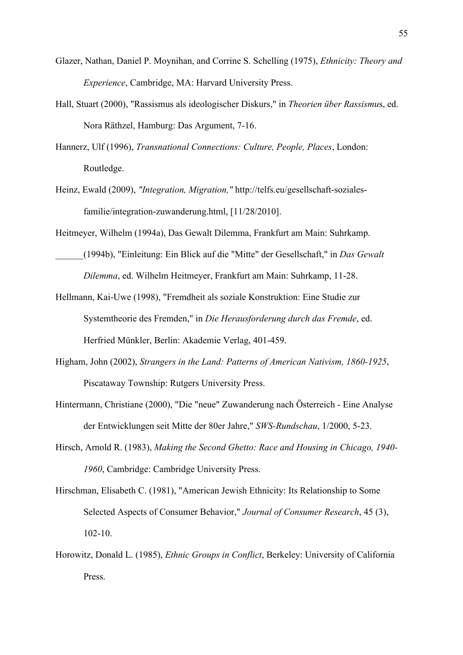- Glazer, Nathan, Daniel P. Moynihan, and Corrine S. Schelling (1975), *Ethnicity: Theory and Experience*, Cambridge, MA: Harvard University Press.
- Hall, Stuart (2000), "Rassismus als ideologischer Diskurs," in *Theorien über Rassismu*s, ed. Nora Räthzel, Hamburg: Das Argument, 7-16.
- Hannerz, Ulf (1996), *Transnational Connections: Culture, People, Places*, London: Routledge.
- Heinz, Ewald (2009), *"Integration, Migration,"* http://telfs.eu/gesellschaft-sozialesfamilie/integration-zuwanderung.html, [11/28/2010].

Heitmeyer, Wilhelm (1994a), Das Gewalt Dilemma, Frankfurt am Main: Suhrkamp.

- \_\_\_\_\_\_(1994b), "Einleitung: Ein Blick auf die "Mitte" der Gesellschaft," in *Das Gewalt Dilemma*, ed. Wilhelm Heitmeyer, Frankfurt am Main: Suhrkamp, 11-28.
- Hellmann, Kai-Uwe (1998), "Fremdheit als soziale Konstruktion: Eine Studie zur Systemtheorie des Fremden," in *Die Herausforderung durch das Fremde*, ed. Herfried Münkler, Berlin: Akademie Verlag, 401-459.
- Higham, John (2002), *Strangers in the Land: Patterns of American Nativism, 1860-1925*, Piscataway Township: Rutgers University Press.
- Hintermann, Christiane (2000), "Die "neue" Zuwanderung nach Österreich Eine Analyse der Entwicklungen seit Mitte der 80er Jahre," *SWS-Rundschau*, 1/2000, 5-23.
- Hirsch, Arnold R. (1983), *Making the Second Ghetto: Race and Housing in Chicago, 1940- 1960*, Cambridge: Cambridge University Press.
- Hirschman, Elisabeth C. (1981), "American Jewish Ethnicity: Its Relationship to Some Selected Aspects of Consumer Behavior," *Journal of Consumer Research*, 45 (3), 102-10.
- Horowitz, Donald L. (1985), *Ethnic Groups in Conflict*, Berkeley: University of California Press.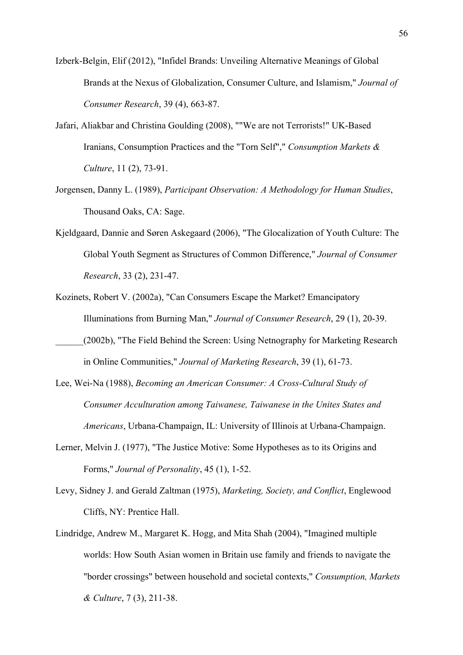- Izberk-Belgin, Elif (2012), "Infidel Brands: Unveiling Alternative Meanings of Global Brands at the Nexus of Globalization, Consumer Culture, and Islamism," *Journal of Consumer Research*, 39 (4), 663-87.
- Jafari, Aliakbar and Christina Goulding (2008), ""We are not Terrorists!" UK-Based Iranians, Consumption Practices and the "Torn Self"," *Consumption Markets & Culture*, 11 (2), 73-91.
- Jorgensen, Danny L. (1989), *Participant Observation: A Methodology for Human Studies*, Thousand Oaks, CA: Sage.
- Kjeldgaard, Dannie and Søren Askegaard (2006), "The Glocalization of Youth Culture: The Global Youth Segment as Structures of Common Difference," *Journal of Consumer Research*, 33 (2), 231-47.
- Kozinets, Robert V. (2002a), "Can Consumers Escape the Market? Emancipatory Illuminations from Burning Man," *Journal of Consumer Research*, 29 (1), 20-39.
- \_\_\_\_\_\_(2002b), "The Field Behind the Screen: Using Netnography for Marketing Research in Online Communities," *Journal of Marketing Research*, 39 (1), 61-73.
- Lee, Wei-Na (1988), *Becoming an American Consumer: A Cross-Cultural Study of Consumer Acculturation among Taiwanese, Taiwanese in the Unites States and Americans*, Urbana-Champaign, IL: University of Illinois at Urbana-Champaign.
- Lerner, Melvin J. (1977), "The Justice Motive: Some Hypotheses as to its Origins and Forms," *Journal of Personality*, 45 (1), 1-52.
- Levy, Sidney J. and Gerald Zaltman (1975), *Marketing, Society, and Conflict*, Englewood Cliffs, NY: Prentice Hall.
- Lindridge, Andrew M., Margaret K. Hogg, and Mita Shah (2004), "Imagined multiple worlds: How South Asian women in Britain use family and friends to navigate the "border crossings" between household and societal contexts," *Consumption, Markets & Culture*, 7 (3), 211-38.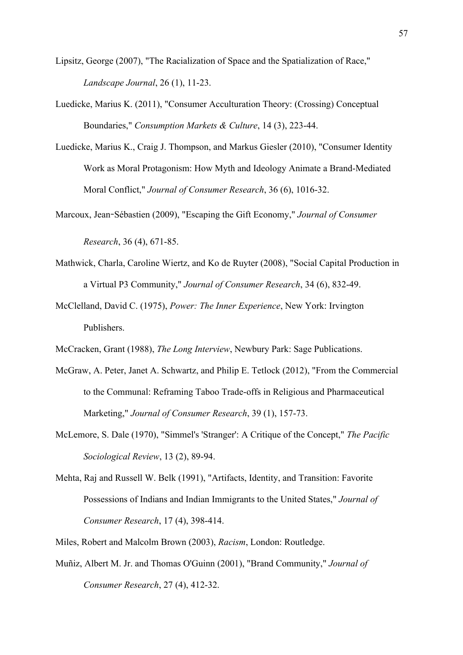Lipsitz, George (2007), "The Racialization of Space and the Spatialization of Race," *Landscape Journal*, 26 (1), 11-23.

- Luedicke, Marius K. (2011), "Consumer Acculturation Theory: (Crossing) Conceptual Boundaries," *Consumption Markets & Culture*, 14 (3), 223-44.
- Luedicke, Marius K., Craig J. Thompson, and Markus Giesler (2010), "Consumer Identity Work as Moral Protagonism: How Myth and Ideology Animate a Brand-Mediated Moral Conflict," *Journal of Consumer Research*, 36 (6), 1016-32.
- Marcoux, Jean**-**Sébastien (2009), "Escaping the Gift Economy," *Journal of Consumer*

*Research*, 36 (4), 671-85.

- Mathwick, Charla, Caroline Wiertz, and Ko de Ruyter (2008), "Social Capital Production in a Virtual P3 Community," *Journal of Consumer Research*, 34 (6), 832-49.
- McClelland, David C. (1975), *Power: The Inner Experience*, New York: Irvington Publishers.
- McCracken, Grant (1988), *The Long Interview*, Newbury Park: Sage Publications.
- McGraw, A. Peter, Janet A. Schwartz, and Philip E. Tetlock (2012), "From the Commercial to the Communal: Reframing Taboo Trade-offs in Religious and Pharmaceutical Marketing," *Journal of Consumer Research*, 39 (1), 157-73.
- McLemore, S. Dale (1970), "Simmel's 'Stranger': A Critique of the Concept," *The Pacific Sociological Review*, 13 (2), 89-94.
- Mehta, Raj and Russell W. Belk (1991), "Artifacts, Identity, and Transition: Favorite Possessions of Indians and Indian Immigrants to the United States," *Journal of Consumer Research*, 17 (4), 398-414.
- Miles, Robert and Malcolm Brown (2003), *Racism*, London: Routledge.
- Muñiz, Albert M. Jr. and Thomas O'Guinn (2001), "Brand Community," *Journal of Consumer Research*, 27 (4), 412-32.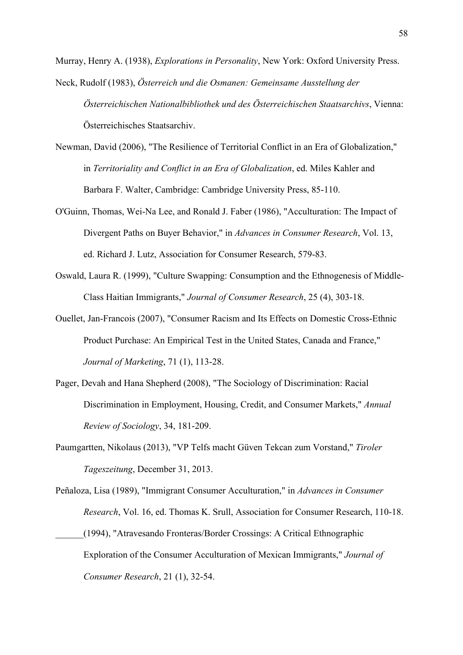Murray, Henry A. (1938), *Explorations in Personality*, New York: Oxford University Press.

- Neck, Rudolf (1983), *Österreich und die Osmanen: Gemeinsame Ausstellung der Österreichischen Nationalbibliothek und des Österreichischen Staatsarchivs*, Vienna: Österreichisches Staatsarchiv.
- Newman, David (2006), "The Resilience of Territorial Conflict in an Era of Globalization," in *Territoriality and Conflict in an Era of Globalization*, ed. Miles Kahler and Barbara F. Walter, Cambridge: Cambridge University Press, 85-110.
- O'Guinn, Thomas, Wei-Na Lee, and Ronald J. Faber (1986), "Acculturation: The Impact of Divergent Paths on Buyer Behavior," in *Advances in Consumer Research*, Vol. 13, ed. Richard J. Lutz, Association for Consumer Research, 579-83.
- Oswald, Laura R. (1999), "Culture Swapping: Consumption and the Ethnogenesis of Middle-Class Haitian Immigrants," *Journal of Consumer Research*, 25 (4), 303-18.
- Ouellet, Jan-Francois (2007), "Consumer Racism and Its Effects on Domestic Cross-Ethnic Product Purchase: An Empirical Test in the United States, Canada and France," *Journal of Marketing*, 71 (1), 113-28.
- Pager, Devah and Hana Shepherd (2008), "The Sociology of Discrimination: Racial Discrimination in Employment, Housing, Credit, and Consumer Markets," *Annual Review of Sociology*, 34, 181-209.
- Paumgartten, Nikolaus (2013), "VP Telfs macht Güven Tekcan zum Vorstand," *Tiroler Tageszeitung*, December 31, 2013.
- Peñaloza, Lisa (1989), "Immigrant Consumer Acculturation," in *Advances in Consumer Research*, Vol. 16, ed. Thomas K. Srull, Association for Consumer Research, 110-18. \_\_\_\_\_\_(1994), "Atravesando Fronteras/Border Crossings: A Critical Ethnographic Exploration of the Consumer Acculturation of Mexican Immigrants," *Journal of Consumer Research*, 21 (1), 32-54.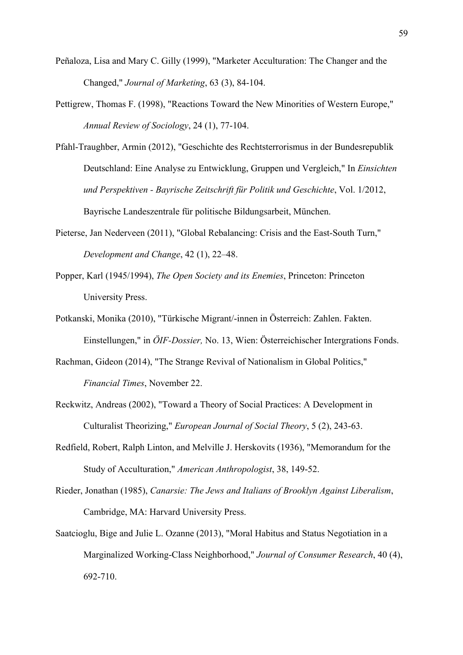- Peñaloza, Lisa and Mary C. Gilly (1999), "Marketer Acculturation: The Changer and the Changed," *Journal of Marketing*, 63 (3), 84-104.
- Pettigrew, Thomas F. (1998), "Reactions Toward the New Minorities of Western Europe," *Annual Review of Sociology*, 24 (1), 77-104.
- Pfahl-Traughber, Armin (2012), "Geschichte des Rechtsterrorismus in der Bundesrepublik Deutschland: Eine Analyse zu Entwicklung, Gruppen und Vergleich," In *Einsichten und Perspektiven - Bayrische Zeitschrift für Politik und Geschichte*, Vol. 1/2012, Bayrische Landeszentrale für politische Bildungsarbeit, München.
- Pieterse, Jan Nederveen (2011), "Global Rebalancing: Crisis and the East-South Turn," *Development and Change*, 42 (1), 22–48.
- Popper, Karl (1945/1994), *The Open Society and its Enemies*, Princeton: Princeton University Press.
- Potkanski, Monika (2010), "Türkische Migrant/-innen in Österreich: Zahlen. Fakten. Einstellungen," in *ÖIF-Dossier,* No. 13, Wien: Österreichischer Intergrations Fonds.
- Rachman, Gideon (2014), "The Strange Revival of Nationalism in Global Politics," *Financial Times*, November 22.
- Reckwitz, Andreas (2002), "Toward a Theory of Social Practices: A Development in Culturalist Theorizing," *European Journal of Social Theory*, 5 (2), 243-63.
- Redfield, Robert, Ralph Linton, and Melville J. Herskovits (1936), "Memorandum for the Study of Acculturation," *American Anthropologist*, 38, 149-52.
- Rieder, Jonathan (1985), *Canarsie: The Jews and Italians of Brooklyn Against Liberalism*, Cambridge, MA: Harvard University Press.
- Saatcioglu, Bige and Julie L. Ozanne (2013), "Moral Habitus and Status Negotiation in a Marginalized Working-Class Neighborhood," *Journal of Consumer Research*, 40 (4), 692-710.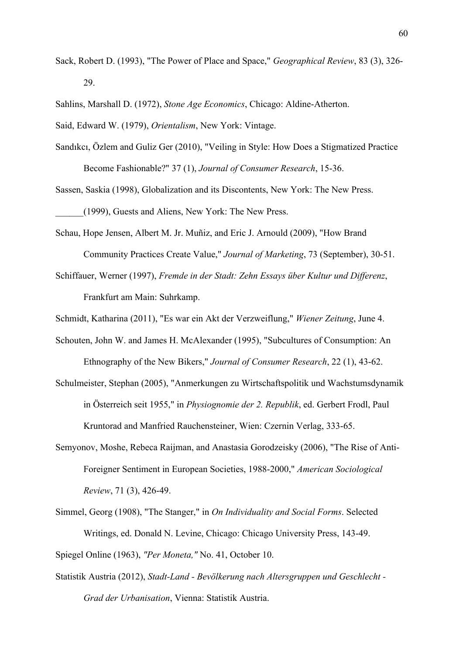Sack, Robert D. (1993), "The Power of Place and Space," *Geographical Review*, 83 (3), 326- 29.

Sahlins, Marshall D. (1972), *Stone Age Economics*, Chicago: Aldine-Atherton.

Said, Edward W. (1979), *Orientalism*, New York: Vintage.

Sandıkcı, Özlem and Guliz Ger (2010), "Veiling in Style: How Does a Stigmatized Practice Become Fashionable?" 37 (1), *Journal of Consumer Research*, 15-36.

Sassen, Saskia (1998), Globalization and its Discontents, New York: The New Press. \_\_\_\_\_\_(1999), Guests and Aliens, New York: The New Press.

Schau, Hope Jensen, Albert M. Jr. Muñiz, and Eric J. Arnould (2009), "How Brand Community Practices Create Value," *Journal of Marketing*, 73 (September), 30-51.

Schiffauer, Werner (1997), *Fremde in der Stadt: Zehn Essays über Kultur und Differenz*, Frankfurt am Main: Suhrkamp.

Schmidt, Katharina (2011), "Es war ein Akt der Verzweiflung," *Wiener Zeitung*, June 4.

- Schouten, John W. and James H. McAlexander (1995), "Subcultures of Consumption: An Ethnography of the New Bikers," *Journal of Consumer Research*, 22 (1), 43-62.
- Schulmeister, Stephan (2005), "Anmerkungen zu Wirtschaftspolitik und Wachstumsdynamik in Österreich seit 1955," in *Physiognomie der 2. Republik*, ed. Gerbert Frodl, Paul Kruntorad and Manfried Rauchensteiner, Wien: Czernin Verlag, 333-65.
- Semyonov, Moshe, Rebeca Raijman, and Anastasia Gorodzeisky (2006), "The Rise of Anti-Foreigner Sentiment in European Societies, 1988-2000," *American Sociological Review*, 71 (3), 426-49.
- Simmel, Georg (1908), "The Stanger," in *On Individuality and Social Forms*. Selected Writings, ed. Donald N. Levine, Chicago: Chicago University Press, 143-49.

Spiegel Online (1963), *"Per Moneta,"* No. 41, October 10.

Statistik Austria (2012), *Stadt-Land - Bevölkerung nach Altersgruppen und Geschlecht - Grad der Urbanisation*, Vienna: Statistik Austria.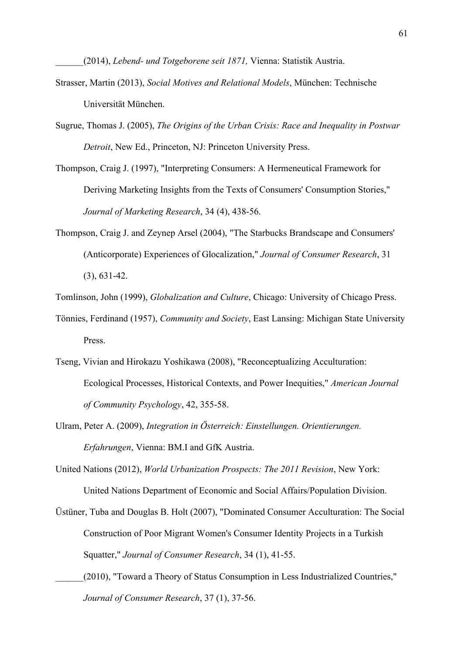\_\_\_\_\_\_(2014), *Lebend- und Totgeborene seit 1871,* Vienna: Statistik Austria.

- Strasser, Martin (2013), *Social Motives and Relational Models*, München: Technische Universität München.
- Sugrue, Thomas J. (2005), *The Origins of the Urban Crisis: Race and Inequality in Postwar Detroit*, New Ed., Princeton, NJ: Princeton University Press.
- Thompson, Craig J. (1997), "Interpreting Consumers: A Hermeneutical Framework for Deriving Marketing Insights from the Texts of Consumers' Consumption Stories," *Journal of Marketing Research*, 34 (4), 438-56.
- Thompson, Craig J. and Zeynep Arsel (2004), "The Starbucks Brandscape and Consumers' (Anticorporate) Experiences of Glocalization," *Journal of Consumer Research*, 31 (3), 631-42.
- Tomlinson, John (1999), *Globalization and Culture*, Chicago: University of Chicago Press.
- Tönnies, Ferdinand (1957), *Community and Society*, East Lansing: Michigan State University Press.
- Tseng, Vivian and Hirokazu Yoshikawa (2008), "Reconceptualizing Acculturation: Ecological Processes, Historical Contexts, and Power Inequities," *American Journal of Community Psychology*, 42, 355-58.
- Ulram, Peter A. (2009), *Integration in Österreich: Einstellungen. Orientierungen. Erfahrungen*, Vienna: BM.I and GfK Austria.
- United Nations (2012), *World Urbanization Prospects: The 2011 Revision*, New York: United Nations Department of Economic and Social Affairs/Population Division.
- Üstüner, Tuba and Douglas B. Holt (2007), "Dominated Consumer Acculturation: The Social Construction of Poor Migrant Women's Consumer Identity Projects in a Turkish Squatter," *Journal of Consumer Research*, 34 (1), 41-55.
	- \_\_\_\_\_\_(2010), "Toward a Theory of Status Consumption in Less Industrialized Countries," *Journal of Consumer Research*, 37 (1), 37-56.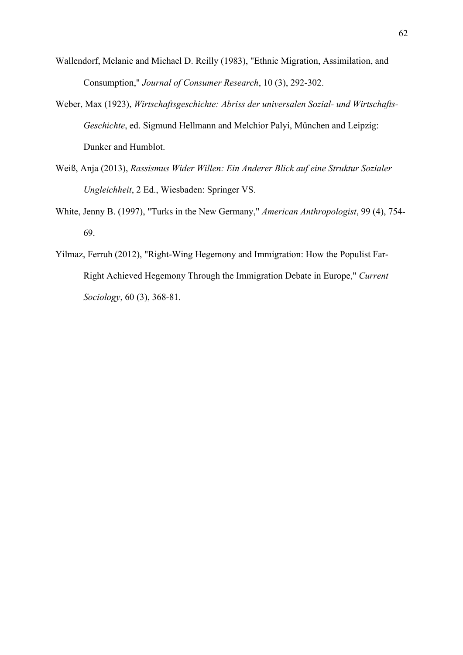- Wallendorf, Melanie and Michael D. Reilly (1983), "Ethnic Migration, Assimilation, and Consumption," *Journal of Consumer Research*, 10 (3), 292-302.
- Weber, Max (1923), *Wirtschaftsgeschichte: Abriss der universalen Sozial- und Wirtschafts-Geschichte*, ed. Sigmund Hellmann and Melchior Palyi, München and Leipzig: Dunker and Humblot.
- Weiß, Anja (2013), *Rassismus Wider Willen: Ein Anderer Blick auf eine Struktur Sozialer Ungleichheit*, 2 Ed., Wiesbaden: Springer VS.
- White, Jenny B. (1997), "Turks in the New Germany," *American Anthropologist*, 99 (4), 754- 69.
- Yilmaz, Ferruh (2012), "Right-Wing Hegemony and Immigration: How the Populist Far-Right Achieved Hegemony Through the Immigration Debate in Europe," *Current Sociology*, 60 (3), 368-81.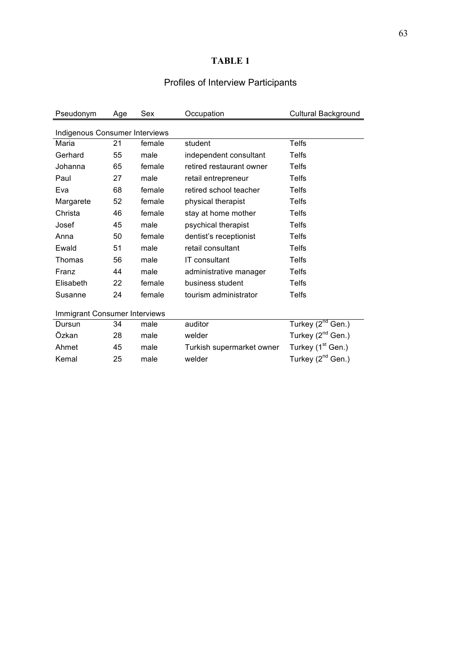# **TABLE 1**

# Profiles of Interview Participants

| Pseudonym                      | Age | Sex    | Occupation                | <b>Cultural Background</b>    |
|--------------------------------|-----|--------|---------------------------|-------------------------------|
| Indigenous Consumer Interviews |     |        |                           |                               |
| Maria                          | 21  | female | student                   | <b>Telfs</b>                  |
| Gerhard                        | 55  | male   | independent consultant    | <b>Telfs</b>                  |
| Johanna                        | 65  | female | retired restaurant owner  | <b>Telfs</b>                  |
| Paul                           | 27  | male   | retail entrepreneur       | <b>Telfs</b>                  |
| Eva                            | 68  | female | retired school teacher    | Telfs                         |
| Margarete                      | 52  | female | physical therapist        | <b>Telfs</b>                  |
| Christa                        | 46  | female | stay at home mother       | Telfs                         |
| Josef                          | 45  | male   | psychical therapist       | <b>Telfs</b>                  |
| Anna                           | 50  | female | dentist's receptionist    | <b>Telfs</b>                  |
| Ewald                          | 51  | male   | retail consultant         | <b>Telfs</b>                  |
| Thomas                         | 56  | male   | <b>IT</b> consultant      | <b>Telfs</b>                  |
| Franz                          | 44  | male   | administrative manager    | <b>Telfs</b>                  |
| Elisabeth                      | 22  | female | business student          | <b>Telfs</b>                  |
| Susanne                        | 24  | female | tourism administrator     | <b>Telfs</b>                  |
| Immigrant Consumer Interviews  |     |        |                           |                               |
| Dursun                         | 34  | male   | auditor                   | Turkey (2 <sup>nd</sup> Gen.) |
| Özkan                          | 28  | male   | welder                    | Turkey $(2^{nd}$ Gen.)        |
| Ahmet                          | 45  | male   | Turkish supermarket owner | Turkey (1 <sup>st</sup> Gen.) |
| Kemal                          | 25  | male   | welder                    | Turkey (2 <sup>nd</sup> Gen.) |